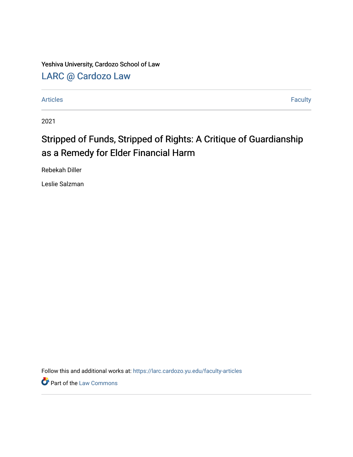Yeshiva University, Cardozo School of Law

[LARC @ Cardozo Law](https://larc.cardozo.yu.edu/)

[Articles](https://larc.cardozo.yu.edu/faculty-articles) Faculty

2021

## Stripped of Funds, Stripped of Rights: A Critique of Guardianship as a Remedy for Elder Financial Harm

Rebekah Diller

Leslie Salzman

Follow this and additional works at: [https://larc.cardozo.yu.edu/faculty-articles](https://larc.cardozo.yu.edu/faculty-articles?utm_source=larc.cardozo.yu.edu%2Ffaculty-articles%2F488&utm_medium=PDF&utm_campaign=PDFCoverPages) 

**Part of the [Law Commons](http://network.bepress.com/hgg/discipline/578?utm_source=larc.cardozo.yu.edu%2Ffaculty-articles%2F488&utm_medium=PDF&utm_campaign=PDFCoverPages)**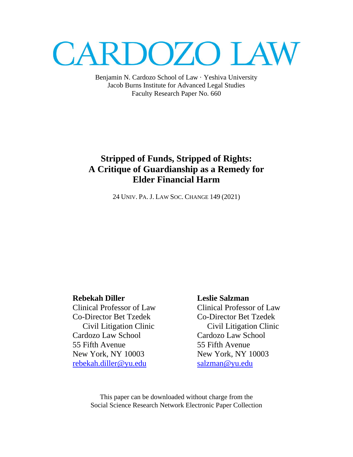# **CARDOZO LAW**

Benjamin N. Cardozo School of Law · Yeshiva University Jacob Burns Institute for Advanced Legal Studies Faculty Research Paper No. 660

## **Stripped of Funds, Stripped of Rights: A Critique of Guardianship as a Remedy for Elder Financial Harm**

24 UNIV. PA. J. LAW SOC. CHANGE 149 (2021)

Clinical Professor of Law Clinical Professor of Law Co-Director Bet Tzedek Co-Director Bet Tzedek Cardozo Law School Cardozo Law School 55 Fifth Avenue 55 Fifth Avenue New York, NY 10003 New York, NY 10003 [rebekah.diller@yu.edu](mailto:rebekah.diller@yu.edu) [salzman@yu.edu](mailto:salzman@yu.edu)

## **Rebekah Diller Leslie Salzman**

Civil Litigation Clinic Civil Litigation Clinic

This paper can be downloaded without charge from the Social Science Research Network Electronic Paper Collection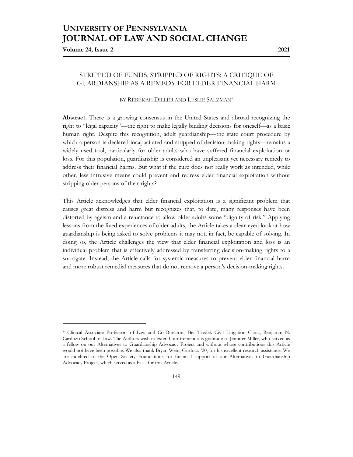## **UNIVERSITY OF PENNSYLVANIA JOURNAL OF LAW AND SOCIAL CHANGE**

**Volume 24, Issue 2 2021**

#### STRIPPED OF FUNDS, STRIPPED OF RIGHTS: A CRITIQUE OF GUARDIANSHIP AS A REMEDY FOR ELDER FINANCIAL HARM

#### BY REBEKAH DILLER AND LESLIE SALZMAN\*

**Abstract.** There is a growing consensus in the United States and abroad recognizing the right to "legal capacity"—the right to make legally binding decisions for oneself—as a basic human right. Despite this recognition, adult guardianship—the state court procedure by which a person is declared incapacitated and stripped of decision-making rights—remains a widely used tool, particularly for older adults who have suffered financial exploitation or loss. For this population, guardianship is considered an unpleasant yet necessary remedy to address their financial harms. But what if the cure does not really work as intended, while other, less intrusive means could prevent and redress elder financial exploitation without stripping older persons of their rights?

This Article acknowledges that elder financial exploitation is a significant problem that causes great distress and harm but recognizes that, to date, many responses have been distorted by ageism and a reluctance to allow older adults some "dignity of risk." Applying lessons from the lived experiences of older adults, the Article takes a clear-eyed look at how guardianship is being asked to solve problems it may not, in fact, be capable of solving. In doing so, the Article challenges the view that elder financial exploitation and loss is an individual problem that is effectively addressed by transferring decision-making rights to a surrogate. Instead, the Article calls for systemic measures to prevent elder financial harm and more robust remedial measures that do not remove a person's decision-making rights.

<sup>\*</sup> Clinical Associate Professors of Law and Co-Directors, Bet Tzedek Civil Litigation Clinic, Benjamin N. Cardozo School of Law. The Authors wish to extend our tremendous gratitude to Jennifer Miller, who served as a fellow on our Alternatives to Guardianship Advocacy Project and without whose contributions this Article would not have been possible. We also thank Bryan Wein, Cardozo '20, for his excellent research assistance. We are indebted to the Open Society Foundations for financial support of our Alternatives to Guardianship Advocacy Project, which served as a basis for this Article.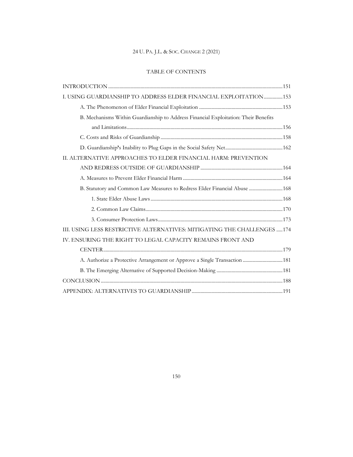### TABLE OF CONTENTS

| I. USING GUARDIANSHIP TO ADDRESS ELDER FINANCIAL EXPLOITATION153                    |  |
|-------------------------------------------------------------------------------------|--|
|                                                                                     |  |
| B. Mechanisms Within Guardianship to Address Financial Exploitation: Their Benefits |  |
|                                                                                     |  |
|                                                                                     |  |
|                                                                                     |  |
| II. ALTERNATIVE APPROACHES TO ELDER FINANCIAL HARM: PREVENTION                      |  |
|                                                                                     |  |
|                                                                                     |  |
| B. Statutory and Common Law Measures to Redress Elder Financial Abuse  168          |  |
|                                                                                     |  |
|                                                                                     |  |
|                                                                                     |  |
| III. USING LESS RESTRICTIVE ALTERNATIVES: MITIGATING THE CHALLENGES 174             |  |
| IV. ENSURING THE RIGHT TO LEGAL CAPACITY REMAINS FRONT AND                          |  |
|                                                                                     |  |
| A. Authorize a Protective Arrangement or Approve a Single Transaction  181          |  |
|                                                                                     |  |
|                                                                                     |  |
|                                                                                     |  |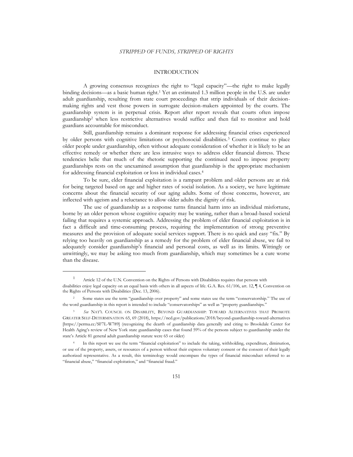#### INTRODUCTION

A growing consensus recognizes the right to "legal capacity"—the right to make legally binding decisions—as a basic human right.<sup>1</sup> Yet an estimated 1.3 million people in the U.S. are under adult guardianship, resulting from state court proceedings that strip individuals of their decisionmaking rights and vest those powers in surrogate decision-makers appointed by the courts. The guardianship system is in perpetual crisis. Report after report reveals that courts often impose guardianship<sup>2</sup> when less restrictive alternatives would suffice and then fail to monitor and hold guardians accountable for misconduct.

Still, guardianship remains a dominant response for addressing financial crises experienced by older persons with cognitive limitations or psychosocial disabilities.<sup>3</sup> Courts continue to place older people under guardianship, often without adequate consideration of whether it is likely to be an effective remedy or whether there are less intrusive ways to address elder financial distress. These tendencies belie that much of the rhetoric supporting the continued need to impose property guardianships rests on the unexamined assumption that guardianship is the appropriate mechanism for addressing financial exploitation or loss in individual cases.<sup>4</sup>

To be sure, elder financial exploitation is a rampant problem and older persons are at risk for being targeted based on age and higher rates of social isolation. As a society, we have legitimate concerns about the financial security of our aging adults. Some of those concerns, however, are inflected with ageism and a reluctance to allow older adults the dignity of risk.

The use of guardianship as a response turns financial harm into an individual misfortune, borne by an older person whose cognitive capacity may be waning, rather than a broad-based societal failing that requires a systemic approach. Addressing the problem of elder financial exploitation is in fact a difficult and time-consuming process, requiring the implementation of strong preventive measures and the provision of adequate social services support. There is no quick and easy "fix." By relying too heavily on guardianship as a remedy for the problem of elder financial abuse, we fail to adequately consider guardianship's financial and personal costs, as well as its limits. Wittingly or unwittingly, we may be asking too much from guardianship, which may sometimes be a cure worse than the disease.

<sup>1</sup> Article 12 of the U.N. Convention on the Rights of Persons with Disabilities requires that persons with disabilities enjoy legal capacity on an equal basis with others in all aspects of life. G.A. Res. 61/106, art. 12, ¶ 4, Convention on the Rights of Persons with Disabilities (Dec. 13, 2006).

<sup>2</sup> Some states use the term "guardianship over property" and some states use the term "conservatorship." The use of the word guardianship in this report is intended to include "conservatorships" as well as "property guardianships."

<sup>3</sup> *See* NAT'L COUNCIL ON DISABILITY, BEYOND GUARDIANSHIP: TOWARD ALTERNATIVES THAT PROMOTE GREATER SELF-DETERMINATION 65, 69 (2018), https://ncd.gov/publications/2018/beyond-guardianship-toward-alternatives [https://perma.cc/SF7L-W789] (recognizing the dearth of guardianship data generally and citing to Brookdale Center for Health Aging's review of New York state guardianship cases that found 59% of the persons subject to guardianship under the state's Article 81 general adult guardianship statute were 65 or older)

In this report we use the term "financial exploitation" to include the taking, withholding, expenditure, diminution, or use of the property, assets, or resources of a person without their express voluntary consent or the consent of their legally authorized representative. As a result, this terminology would encompass the types of financial misconduct referred to as "financial abuse," "financial exploitation," and "financial fraud."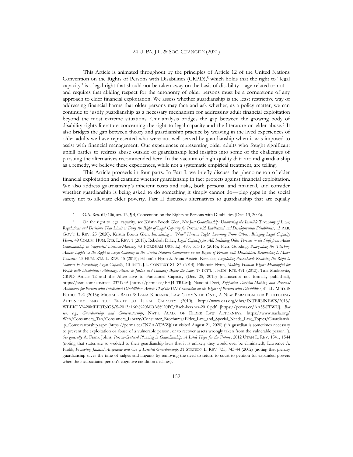This Article is animated throughout by the principles of Article 12 of the United Nations Convention on the Rights of Persons with Disabilities (CRPD),<sup>5</sup> which holds that the right to "legal capacity" is a legal right that should not be taken away on the basis of disability—age-related or not and requires that abiding respect for the autonomy of older persons must be a cornerstone of any approach to elder financial exploitation. We assess whether guardianship is the least restrictive way of addressing financial harms that older persons may face and ask whether, as a policy matter, we can continue to justify guardianship as a necessary mechanism for addressing adult financial exploitation beyond the most extreme situations. Our analysis bridges the gap between the growing body of disability rights literature concerning the right to legal capacity and the literature on elder abuse.<sup>6</sup> It also bridges the gap between theory and guardianship practice by weaving in the lived experiences of older adults we have represented who were not well-served by guardianship when it was imposed to assist with financial management. Our experiences representing older adults who fought significant uphill battles to redress abuse outside of guardianship lend insights into some of the challenges of pursuing the alternatives recommended here. In the vacuum of high-quality data around guardianship as a remedy, we believe these experiences, while not a systematic empirical treatment, are telling.

This Article proceeds in four parts. In Part I, we briefly discuss the phenomenon of elder financial exploitation and examine whether guardianship in fact protects against financial exploitation. We also address guardianship's inherent costs and risks, both personal and financial, and consider whether guardianship is being asked to do something it simply cannot do—plug gaps in the social safety net to alleviate elder poverty. Part II discusses alternatives to guardianship that are equally

<sup>5</sup> G.A. Res. 61/106, art. 12, ¶ 4, Convention on the Rights of Persons with Disabilities (Dec. 13, 2006).

<sup>6</sup> On the right to legal capacity, see Kristin Booth Glen, *Not Just Guardianship: Uncovering the Invisible Taxonomy of Laws,* Regulations and Decisions That Limit or Deny the Right of Legal Capacity for Persons with Intellectual and Developmental Disabilities, 13 ALB. GOV'T L. REV. 25 (2020); Kristin Booth Glen, *Introducing a "New" Human Right: Learning From Others, Bringing Legal Capacity Home,* 49 COLUM. HUM. RTS. L. REV. 1 (2018); Rebekah Diller, *Legal Capacity for All: Including Older Persons in the Shift from Adult Guardianship to Supported Decision-Making*, 43 FORDHAM URB. L.J. 495, 511-15 (2016); Piers Gooding, *Navigating the 'Flashing Amber Lights' of the Right to Legal Capacity in the United Nations Convention on the Rights of Persons with Disabilities: Responding to Major Concerns*, 15 HUM. RTS. L. REV. 45 (2015); Eilionóir Flynn & Anna Arstein-Kerslake, *Legislating Personhood: Realising the Right to Support in Exercising Legal Capacity*, 10 INT'L J.L. CONTEXT 81, 83 (2014); Eilionoir Flynn, *Making Human Rights Meaningful for People with Disabilities: Advocacy, Access to Justice and Equality Before the Law*, 17 INT'L J. HUM. RTS. 491 (2013); Tina Minkowitz, CRPD Article 12 and the Alternative to Functional Capacity (Dec. 25, 2013) (manuscript not formally published), https://ssrn.com/abstract=2371939 [https://perma.cc/FHJ4-TRKM]; Nandini Devi, *Supported Decision-Making and Personal Autonomy for Persons with Intellectual Disabilities: Article 12 of the UN Convention on the Rights of Persons with Disabilities*, 41 J.L. MED. & ETHICS 792 (2013); MICHAEL BACH & LANA KERZNER, LAW COMM'N OF ONT., A NEW PARADIGM FOR PROTECTING AUTONOMY AND THE RIGHT TO LEGAL CAPACITY (2010), http://www.oas.org/dhrs/INTERNNEWS/2013/ WEEKLY%20MEETINGS/S-2013/16th%20MOAS%20PC/Bach-kerzner-2010.pdf [https://perma.cc/AA35-FPWU]. *But see, e.g.*, *Guardianship and Conservatorship*, NAT'L ACAD. OF ELDER LAW ATTORNEYS, https://www.naela.org/ Web/Consumers\_Tab/Consumers\_Library/Consumer\_Brochures/Elder\_Law\_and\_Special\_Needs\_Law\_Topics/Guardiansh ip\_Conservatorship.aspx [https://perma.cc/7NZA-YDVZ](last visited August 21, 2020) ("A guardian is sometimes necessary to prevent the exploitation or abuse of a vulnerable person, or to recover assets wrongly taken from the vulnerable person."). See generally A. Frank Johns, *Person-Centered Planning in Guardianship: A Little Hope for the Future*, 2012 UTAH L. REV. 1541, 1544 (noting that states are so wedded to their guardianship laws that it is unlikely they would ever be eliminated); Lawrence A. Frolik, *Promoting Judicial Acceptance and Use of Limited Guardianship,* 31 STETSON L. REV. 735, 743-44 (2002) (noting that plenary guardianship saves the time of judges and litigants by removing the need to return to court to petition for expanded powers when the incapacitated person's cognitive condition declines).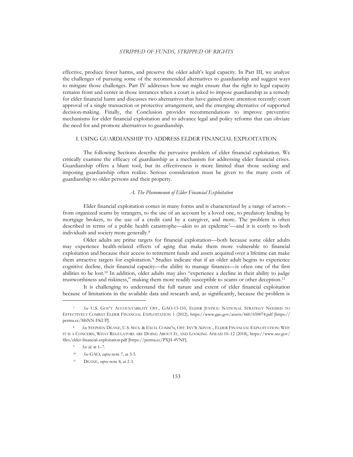effective, produce fewer harms, and preserve the older adult's legal capacity. In Part III, we analyze the challenges of pursuing some of the recommended alternatives to guardianship and suggest ways to mitigate those challenges. Part IV addresses how we might ensure that the right to legal capacity remains front and center in those instances when a court is asked to impose guardianship as a remedy for elder financial harm and discusses two alternatives that have gained more attention recently: court approval of a single transaction or protective arrangement, and the emerging alternative of supported decision-making. Finally, the Conclusion provides recommendations to improve preventive mechanisms for elder financial exploitation and to advance legal and policy reforms that can obviate the need for and promote alternatives to guardianship.

#### I. USING GUARDIANSHIP TO ADDRESS ELDER FINANCIAL EXPLOITATION

The following Sections describe the pervasive problem of elder financial exploitation. We critically examine the efficacy of guardianship as a mechanism for addressing elder financial crises. Guardianship offers a blunt tool, but its effectiveness is more limited than those seeking and imposing guardianship often realize. Serious consideration must be given to the many costs of guardianship to older persons and their property.

#### *A. The Phenomenon of Elder Financial Exploitation*

Elder financial exploitation comes in many forms and is characterized by a range of actors – from organized scams by strangers, to the use of an account by a loved one, to predatory lending by mortgage brokers, to the use of a credit card by a caregiver, and more. The problem is often described in terms of a public health catastrophe—akin to an epidemic7—and it is costly to both individuals and society more generally.<sup>8</sup>

Older adults are prime targets for financial exploitation—both because some older adults may experience health-related effects of aging that make them more vulnerable to financial exploitation and because their access to retirement funds and assets acquired over a lifetime can make them attractive targets for exploitation.<sup>9</sup> Studies indicate that if an older adult begins to experience cognitive decline, their financial capacity—the ability to manage finances—is often one of the first abilities to be lost.<sup>10</sup> In addition, older adults may also "experience a decline in their ability to judge trustworthiness and riskiness," making them more readily susceptible to scams or other deception.<sup>11</sup>

It is challenging to understand the full nature and extent of elder financial exploitation because of limitations in the available data and research and, as significantly, because the problem is

<sup>7</sup> *See* U.S. GOV'T ACCOUNTABILITY OFF., GAO-13-110, ELDER JUSTICE: NATIONAL STRATEGY NEEDED TO EFFECTIVELY COMBAT ELDER FINANCIAL EXPLOITATION 1 (2012), https://www.gao.gov/assets/660/650074.pdf [https:// perma.cc/M6NN-FKUP].

<sup>8</sup> *See* STEPHEN DEANE, U.S. SECS. & EXCH. COMM'N, OFF. INV'R ADVOC., ELDER FINANCIAL EXPLOITATION: WHY IT IS A CONCERN, WHAT REGULATORS ARE DOING ABOUT IT, AND LOOKING AHEAD 10–12 (2018), https://www.sec.gov/ files/elder-financial-exploitation.pdf [https://perma.cc/PXJ4-4VNF].

<sup>9</sup> *See id.* at 1–7.

<sup>10</sup> *See* GAO, *supra* note 7, at 3-5.

<sup>11</sup> DEANE, *supra* note 8, at 2-3.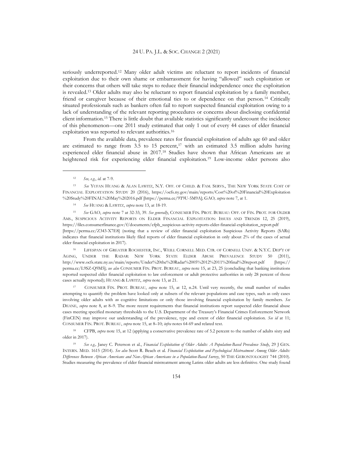seriously underreported.<sup>12</sup> Many older adult victims are reluctant to report incidents of financial exploitation due to their own shame or embarrassment for having "allowed" such exploitation or their concerns that others will take steps to reduce their financial independence once the exploitation is revealed.<sup>13</sup> Older adults may also be reluctant to report financial exploitation by a family member, friend or caregiver because of their emotional ties to or dependence on that person.<sup>14</sup> Critically situated professionals such as bankers often fail to report suspected financial exploitation owing to a lack of understanding of the relevant reporting procedures or concerns about disclosing confidential client information.<sup>15</sup> There is little doubt that available statistics significantly undercount the incidence of this phenomenon—one 2011 study estimated that only 1 out of every 44 cases of elder financial exploitation was reported to relevant authorities.<sup>16</sup>

From the available data, prevalence rates for financial exploitation of adults age 60 and older are estimated to range from  $3.5$  to  $15$  percent,<sup>17</sup> with an estimated  $3.5$  million adults having experienced elder financial abuse in 2017.<sup>18</sup> Studies have shown that African Americans are at heightened risk for experiencing elder financial exploitation.<sup>19</sup> Low-income older persons also

<sup>14</sup> *See* HUANG & LAWITZ, *supra* note 13, at 18-19.

<sup>15</sup> *See* GAO, *supra* note 7 at 32-33, 39. *See generally*, CONSUMER FIN. PROT. BUREAU: OFF. OF FIN. PROT. FOR OLDER AMS., SUSPICIOUS ACTIVITY REPORTS ON ELDER FINANCIAL EXPLOITATION: ISSUES AND TRENDS 12, 25 (2019), https://files.consumerfinance.gov/f/documents/cfpb\_suspicious-activity-reports-elder-financial-exploitation\_report.pdf [https://perma.cc/Z343-X7E8] (noting that a review of elder financial exploitation Suspicious Activity Reports (SARs) indicates that financial institutions likely filed reports of elder financial exploitation in only about 2% of the cases of actual elder financial exploitation in 2017).

<sup>16</sup> LIFESPAN OF GREATER ROCHESTER, INC., WEILL CORNELL MED. CTR. OF CORNELL UNIV. & N.Y.C. DEP'T OF AGING, UNDER THE RADAR: NEW YORK STATE ELDER ABUSE PREVALENCE STUDY 50 (2011), http://www.ocfs.state.ny.us/main/reports/Under%20the%20Radar%2005%2012%2011%20final%20report.pdf [https:// perma.cc/L9SZ-Q9M5]; *see also* CONSUMER FIN. PROT. BUREAU, *supra* note 15, at 23, 25 (concluding that banking institutions reported suspected elder financial exploitation to law enforcement or adult protective authorities in only 28 percent of those cases actually reported); HUANG & LAWITZ, *supra* note 13, at 21.

CONSUMER FIN. PROT. BUREAU, *supra* note 15, at 12, n.24. Until very recently, the small number of studies attempting to quantify the problem have looked only at subsets of the relevant populations and case types, such as only cases involving older adults with *no* cognitive limitations or only those involving financial exploitation by family members. *See* DEANE, *supra* note 8, at 8–9. The more recent requirements that financial institutions report suspected elder financial abuse cases meeting specified monetary thresholds to the U.S. Department of the Treasury's Financial Crimes Enforcement Network (FinCEN) may improve our understanding of the prevalence, type and extent of elder financial exploitation. *See id* at 11; CONSUMER FIN. PROT. BUREAU, *supra* note 15, at 8–10; *infra* notes 64-69 and related text.

<sup>18</sup> CFPB, *supra* note 15, at 12 (applying a conservative prevalence rate of 5.2 percent to the number of adults sixty and older in 2017).

<sup>19</sup> *See e.g.,* Janey C. Peterson et al., *Financial Exploitation of Older Adults: A Population-Based Prevalence Study*, 29 J GEN. INTERN. MED. 1615 (2014). *See also* Scott R. Beach et al*. Financial Exploitation and Psychological Mistreatment Among Older Adults: Differences Between African Americans and Non-African Americans in a Population-Based Survey*, 50 THE GERONTOLOGIST 744 (2010)*.*  Studies measuring the prevalence of elder financial mistreatment among Latinx older adults are less definitive. One study found

<sup>12</sup> *See, e.g.*, *id.* at 7-9.

<sup>13</sup> *See* YUFAN HUANG & ALAN LAWITZ, N.Y. OFF. OF CHILD. & FAM. SERVS., THE NEW YORK STATE COST OF FINANCIAL EXPLOITATION STUDY 20 (2016), https://ocfs.ny.gov/main/reports/Cost%20of%20Financial%20Exploitation %20Study%20FINAL%20May%202016.pdf [https://perma.cc/9T9U-5M9A]; GAO*, supra* note 7, at 1.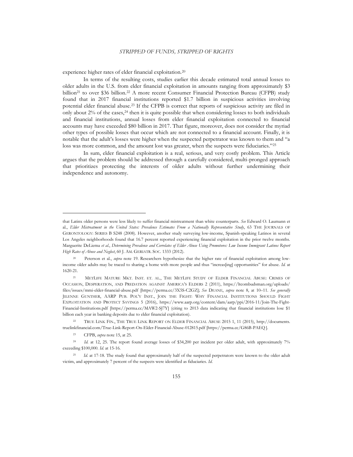experience higher rates of elder financial exploitation.<sup>20</sup>

In terms of the resulting costs, studies earlier this decade estimated total annual losses to older adults in the U.S. from elder financial exploitation in amounts ranging from approximately \$3 billion<sup>21</sup> to over \$36 billion.<sup>22</sup> A more recent Consumer Financial Protection Bureau (CFPB) study found that in 2017 financial institutions reported \$1.7 billion in suspicious activities involving potential elder financial abuse.<sup>23</sup> If the CFPB is correct that reports of suspicious activity are filed in only about  $2\%$  of the cases,<sup>24</sup> then it is quite possible that when considering losses to both individuals and financial institutions, annual losses from elder financial exploitation connected to financial accounts may have exceeded \$80 billion in 2017. That figure, moreover, does not consider the myriad other types of possible losses that occur which are not connected to a financial account. Finally, it is notable that the adult's losses were higher when the suspected perpetrator was known to them and "a loss was more common, and the amount lost was greater, when the suspects were fiduciaries."<sup>25</sup>

In sum, elder financial exploitation is a real, serious, and very costly problem. This Article argues that the problem should be addressed through a carefully considered, multi-pronged approach that prioritizes protecting the interests of older adults without further undermining their independence and autonomy.

that Latinx older persons were less likely to suffer financial mistreatment than white counterparts. *See* Edward O. Laumann et al., *Elder Mistreatment in the United States: Prevalence Estimates From a Nationally Representative Study*, 63 THE JOURNALS OF GERONTOLOGY: SERIES B S248 (2008). However, another study surveying low-income, Spanish-speaking Latinos in several Los Angeles neighborhoods found that 16.7 percent reported experiencing financial exploitation in the prior twelve months. Marguerite DeLiema *et al*., *Determining Prevalence and Correlates of Elder Abuse Using Promotores: Low Income Immigrant Latinos Report High Rates of Abuse and Neglect*, 60 J. AM. GERIATR. SOC. 1333 (2012).

<sup>20</sup> Peterson et al., *supra* note 19. Researchers hypothesize that the higher rate of financial exploitation among lowincome older adults may be traced to sharing a home with more people and thus "increas[ing] opportunities" for abuse. *Id.* at 1620-21.

<sup>&</sup>lt;sup>21</sup> METLIFE MATURE MKT. INST. ET. AL., THE METLIFE STUDY OF ELDER FINANCIAL ABUSE: CRIMES OF OCCASION, DESPERATION, AND PREDATION AGAINST AMERICA'S ELDERS 2 (2011), https://ltcombudsman.org/uploads/ files/issues/mmi-elder-financial-abuse.pdf [https://perma.cc/3X5S-C2GZ]; *See* DEANE, *supra* note 8, at 10–11. *See generally* JILENNE GUNTHER, AARP PUB. POL'Y INST., JOIN THE FIGHT: WHY FINANCIAL INSTITUTIONS SHOULD FIGHT EXPLOITATION AND PROTECT SAVINGS 5 (2016), https://www.aarp.org/content/dam/aarp/ppi/2016-11/Join-The-Fight-Financial-Institutions.pdf [https://perma.cc/MAW2-SJ7Y] (citing to 2013 data indicating that financial institutions lose \$1 billion each year in banking deposits due to elder financial exploitation).

<sup>22</sup> TRUE LINK FIN., THE TRUE LINK REPORT ON ELDER FINANCIAL ABUSE 2015 1, 11 (2015), http://documents. truelinkfinancial.com/True-Link-Report-On-Elder-Financial-Abuse-012815.pdf [https://perma.cc/G86B-PAEQ ].

<sup>23</sup> CFPB, *supra* note 15, at 25.

<sup>&</sup>lt;sup>24</sup> *Id.* at 12, 25. The report found average losses of \$34,200 per incident per older adult, with approximately 7% exceeding \$100,000. *Id*. at 15-16.

<sup>&</sup>lt;sup>25</sup> *Id.* at 17-18. The study found that approximately half of the suspected perpetrators were known to the older adult victim, and approximately 7 percent of the suspects were identified as fiduciaries. *Id*.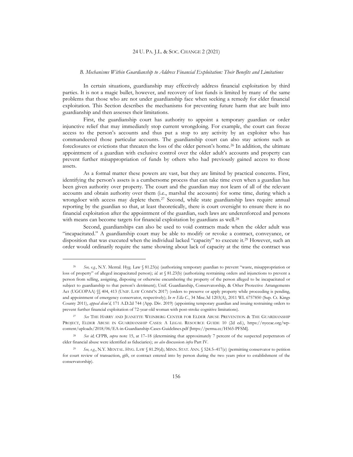#### *B. Mechanisms Within Guardianship to Address Financial Exploitation: Their Benefits and Limitations*

In certain situations, guardianship may effectively address financial exploitation by third parties. It is not a magic bullet, however, and recovery of lost funds is limited by many of the same problems that those who are not under guardianship face when seeking a remedy for elder financial exploitation. This Section describes the mechanisms for preventing future harm that are built into guardianship and then assesses their limitations.

First, the guardianship court has authority to appoint a temporary guardian or order injunctive relief that may immediately stop current wrongdoing. For example, the court can freeze access to the person's accounts and thus put a stop to any activity by an exploiter who has commandeered those particular accounts. The guardianship court can also stay actions such as foreclosures or evictions that threaten the loss of the older person's home.<sup>26</sup> In addition, the ultimate appointment of a guardian with exclusive control over the older adult's accounts and property can prevent further misappropriation of funds by others who had previously gained access to those assets.

As a formal matter these powers are vast, but they are limited by practical concerns. First, identifying the person's assets is a cumbersome process that can take time even when a guardian has been given authority over property. The court and the guardian may not learn of all of the relevant accounts and obtain authority over them (i.e., marshal the accounts) for some time, during which a wrongdoer with access may deplete them.<sup>27</sup> Second, while state guardianship laws require annual reporting by the guardian so that, at least theoretically, there is court oversight to ensure there is no financial exploitation after the appointment of the guardian, such laws are underenforced and persons with means can become targets for financial exploitation by guardians as well.<sup>28</sup>

Second, guardianships can also be used to void contracts made when the older adult was "incapacitated." A guardianship court may be able to modify or revoke a contract, conveyance, or disposition that was executed when the individual lacked "capacity" to execute it.<sup>29</sup> However, such an order would ordinarily require the same showing about lack of capacity at the time the contract was

<sup>26</sup> *See, e.g.*, N.Y. Mental. Hyg. Law § 81.23(a) (authorizing temporary guardian to prevent "waste, misappropriation or loss of property" of alleged incapacitated person); *id.* at § 81.23(b) (authorizing restraining orders and injunctions to prevent a person from selling, assigning, disposing or otherwise encumbering the property of the person alleged to be incapacitated or subject to guardianship to that person's detriment); Unif. Guardianship, Conservatorship, & Other Protective Arrangements Act (UGCOPAA) §§ 404, 413 (UNIF. LAW COMM'N 2017) (orders to preserve or apply property while proceeding is pending, and appointment of emergency conservator, respectively); *In re Ella C.*, 34 Misc.3d 1203(A), 2011 WL 6757850 (Sup. Ct. Kings County 2011), *appeal dism'd*, 171 A.D.2d 744 (App. Div. 2019) (appointing temporary guardian and issuing restraining orders to prevent further financial exploitation of 72-year-old woman with post-stroke cognitive limitations).

<sup>27</sup> *See* THE HARRY AND JEANETTE WEINBERG CENTER FOR ELDER ABUSE PREVENTION & THE GUARDIANSHIP PROJECT, ELDER ABUSE IN GUARDIANSHIP CASES: A LEGAL RESOURCE GUIDE 10 (2d ed.), https://nyceac.org/wpcontent/uploads/2018/06/EA-in-Guardianship-Cases-Guidelines.pdf [https://perma.cc/H565-PFSM].

See id<sub>i</sub>; CFPB, *supra* note 15, at 17–18 (determining that approximately 7 percent of the suspected perpetrators of elder financial abuse were identified as fiduciaries); *see also* discussion *infra* Part IV.

<sup>29</sup> *See, e.g.*, N.Y. MENTAL. HYG. LAW § 81.29(d); MINN. STAT. ANN. § 524.5–417(e) (permitting conservator to petition for court review of transaction, gift, or contract entered into by person during the two years prior to establishment of the conservatorship).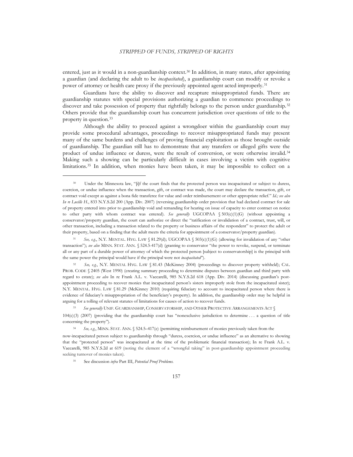entered, just as it would in a non-guardianship context.<sup>30</sup> In addition, in many states, after appointing a guardian (and declaring the adult to be *incapacitated*), a guardianship court can modify or revoke a power of attorney or health care proxy if the previously appointed agent acted improperly.<sup>31</sup>

Guardians have the ability to discover and recapture misappropriated funds. There are guardianship statutes with special provisions authorizing a guardian to commence proceedings to discover and take possession of property that rightfully belongs to the person under guardianship.<sup>32</sup> Others provide that the guardianship court has concurrent jurisdiction over questions of title to the property in question.<sup>33</sup>

Although the ability to proceed against a wrongdoer within the guardianship court may provide some procedural advantages, proceedings to recover misappropriated funds may present many of the same burdens and challenges of proving financial exploitation as those brought outside of guardianship. The guardian still has to demonstrate that any transfers or alleged gifts were the product of undue influence or duress, were the result of conversion, or were otherwise invalid.<sup>34</sup> Making such a showing can be particularly difficult in cases involving a victim with cognitive limitations.<sup>35</sup> In addition, when monies have been taken, it may be impossible to collect on a

See, e.g., N.Y. MENTAL HYG. LAW § 81.43 (McKinney 2004) (proceedings to discover property withheld); CAL. PROB. CODE § 2405 (West 1990) (creating summary proceeding to determine disputes between guardian and third party with regard to estate); *see also* In re Frank A.L. v. Vaccarelli, 985 N.Y.S.2d 618 (App. Div. 2014) (discussing guardian's postappointment proceeding to recover monies that incapacitated person's sisters improperly stole from the incapacitated sister); N.Y. MENTAL. HYG. LAW § 81.29 (McKinney 2010) (requiring fiduciary to account to incapacitated person where there is evidence of fiduciary's misappropriation of the beneficiary's property). In addition, the guardianship order may be helpful in arguing for a tolling of relevant statutes of limitations for causes of action to recover funds.

See generally UNIF. GUARDIANSHIP, CONSERVATORSHIP, AND OTHER PROTECTIVE ARRANGEMENTS ACT §

104(c)(3) (2007) (providing that the guardianship court has "nonexclusive jurisdiction to determine . . . a question of title concerning the property").

See, e.g., MINN. STAT. ANN. § 524.5–417(e) (permitting reimbursement of monies previously taken from the

now-incapacitated person subject to guardianship through "duress, coercion, or undue influence" as an alternative to showing that the "protected person" was incapacitated at the time of the problematic financial transaction); In re Frank A.L. v. Vaccarelli, 985 N.Y.S.2d at 619 (noting the element of a "wrongful taking" in post-guardianship appointment proceeding seeking turnover of monies taken).

<sup>35</sup> See discussion *infra* Part III, *Potential Proof Problems.*

<sup>&</sup>lt;sup>30</sup> Under the Minnesota law, "[i]f the court finds that the protected person was incapacitated or subject to duress, coercion, or undue influence when the transaction, gift, or contract was made, the court may declare the transaction, gift, or contract void except as against a bona fide transferee for value and order reimbursement or other appropriate relief*.*" *Id.; see also In re Lucille H.*, 833 N.Y.S.2d 200 (App. Div. 2007) (reversing guardianship order provision that had declared contract for sale of property entered into prior to guardianship void and remanding for hearing on issue of capacity to enter contract on notice to other party with whom contract was entered). *See generally* UGCOPAA § 503(c)(1)(G) (without appointing a conservator/property guardian, the court can authorize or direct the "ratification or invalidation of a contract, trust, will, or other transaction, including a transaction related to the property or business affairs of the respondent" to protect the adult or their property, based on a finding that the adult meets the criteria for appointment of a conservator/property guardian).

<sup>31</sup> *See, e.g.*, N.Y. MENTAL. HYG. LAW § 81.29(d); UGCOPAA § 503(c)(1)(G) (allowing for invalidation of any "other transaction"); *see also* MINN. STAT. ANN. § 524.5-417(d) (granting to conservator "the power to revoke, suspend, or terminate all or any part of a durable power of attorney of which the protected person [subject to conservatorship] is the principal with the same power the principal would have if the principal were not *incapacitated*").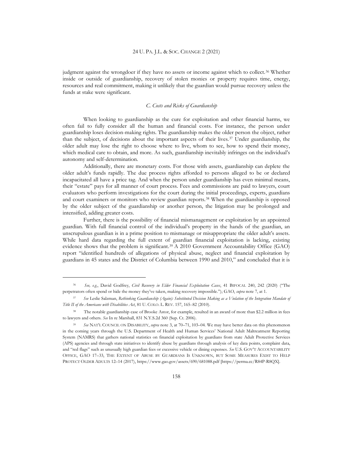judgment against the wrongdoer if they have no assets or income against which to collect.<sup>36</sup> Whether inside or outside of guardianship, recovery of stolen monies or property requires time, energy, resources and real commitment, making it unlikely that the guardian would pursue recovery unless the funds at stake were significant.

#### *C. Costs and Risks of Guardianship*

When looking to guardianship as the cure for exploitation and other financial harms, we often fail to fully consider all the human and financial costs. For instance, the person under guardianship loses decision-making rights. The guardianship makes the older person the object, rather than the subject, of decisions about the important aspects of their lives.<sup>37</sup> Under guardianship, the older adult may lose the right to choose where to live, whom to see, how to spend their money, which medical care to obtain, and more. As such, guardianship inevitably infringes on the individual's autonomy and self-determination.

Additionally, there are monetary costs. For those with assets, guardianship can deplete the older adult's funds rapidly. The due process rights afforded to persons alleged to be or declared incapacitated all have a price tag. And when the person under guardianship has even minimal means, their "estate" pays for all manner of court process. Fees and commissions are paid to lawyers, court evaluators who perform investigations for the court during the initial proceedings, experts, guardians and court examiners or monitors who review guardian reports.<sup>38</sup> When the guardianship is opposed by the older subject of the guardianship or another person, the litigation may be prolonged and intensified, adding greater costs.

Further, there is the possibility of financial mismanagement or exploitation by an appointed guardian. With full financial control of the individual's property in the hands of the guardian, an unscrupulous guardian is in a prime position to mismanage or misappropriate the older adult's assets. While hard data regarding the full extent of guardian financial exploitation is lacking, existing evidence shows that the problem is significant.<sup>39</sup> A 2010 Government Accountability Office (GAO) report "identified hundreds of allegations of physical abuse, neglect and financial exploitation by guardians in 45 states and the District of Columbia between 1990 and 2010," and concluded that it is

<sup>36</sup> *See, e.g.*, David Godfrey, *Civil Recovery in Elder Financial Exploitation Cases*, 41 BIFOCAL 240, 242 (2020) ("The perpetrators often spend or hide the money they've taken, making recovery impossible."); GAO, *supra* note 7, at 1.

<sup>37</sup> *See* Leslie Salzman, *Rethinking Guardianship (Again): Substituted Decision Making as a Violation of the Integration Mandate of Title II of the Americans with Disabilities Act*, 81 U. COLO. L. REV. 157, 165–82 (2010).

<sup>&</sup>lt;sup>38</sup> The notable guardianship case of Brooke Astor, for example, resulted in an award of more than \$2.2 million in fees to lawyers and others. *See* In re Marshall, 831 N.Y.S.2d 360 (Sup. Ct. 2006).

<sup>39</sup> *See* NAT'L COUNCIL ON DISABILITY, *supra* note 3, at 70–71, 103–04. We may have better data on this phenomenon in the coming years through the U.S. Department of Health and Human Services' National Adult Maltreatment Reporting System (NAMRS) that gathers national statistics on financial exploitation by guardians from state Adult Protective Services (APS) agencies and through state initiatives to identify abuse by guardians through analysis of key data points, complaint data, and "red flags" such as unusually high guardian fees or excessive vehicle or dining expenses. *See* U.S. GOV'T ACCOUNTABILITY OFFICE, GAO 17–33, THE EXTENT OF ABUSE BY GUARDIANS IS UNKNOWN, BUT SOME MEASURES EXIST TO HELP PROTECT OLDER ADULTS 12–14 (2017), https://www.gao.gov/assets/690/681088.pdf [https://perma.cc/R84P-R8QX].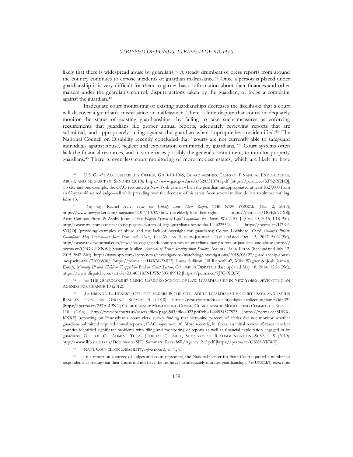likely that there is widespread abuse by guardians.<sup>40</sup> A steady drumbeat of press reports from around the country continues to expose incidents of guardian malfeasance.<sup>41</sup> Once a person is placed under guardianship it is very difficult for them to garner basic information about their finances and other matters under the guardian's control, dispute actions taken by the guardian, or lodge a complaint against the guardian.<sup>42</sup>

Inadequate court monitoring of existing guardianships decreases the likelihood that a court will discover a guardian's misfeasance or malfeasance. There is little dispute that courts inadequately monitor the status of existing guardianships—by failing to take such measures as enforcing requirements that guardians file proper annual reports, adequately reviewing reports that are submitted, and appropriately acting against the guardian when improprieties are identified.<sup>43</sup> The National Council on Disability recently concluded that "courts are not currently able to safeguard individuals against abuse, neglect and exploitation committed by guardians."<sup>44</sup> Court systems often lack the financial resources, and in some cases possibly the general commitment, to monitor property guardians.<sup>45</sup> There is even less court monitoring of more modest estates, which are likely to have

<sup>42</sup> *See* THE GUARDIANSHIP CLINIC, CARDOZO SCHOOL OF LAW, GUARDIANSHIP IN NEW YORK: DEVELOPING AN AGENDA FOR CHANGE 10 (2012).

<sup>43</sup> *See* BRENDA K. UEKERT, CTR. FOR ELDERS & THE CTS., ADULT GUARDIANSHIP COURT DATA AND ISSUES: RESULTS FROM AN ONLINE SURVEY 5 (2010), https://ncsc.contentdm.oclc.org/digital/collection/famct/id/291 [https://perma.cc/257A-4PN2]; GUARDIANSHIP MONITORING COMM., GUARDIANSHIP MONITORING COMMITTEE REPORT 118 (2014), http://www.pacourts.us/assets/files/page-543/file-4022.pdf?cb=1444534377573 [https://perma.cc/8UKX-KXXF] (reporting on Pennsylvania court clerk survey finding that sixty-nine percent of clerks did not monitor whether guardians submitted required annual reports); GAO, *supra* note 36. More recently, in Texas, an initial review of cases in select counties identified significant problems with filing and monitoring of reports as well as financial exploitation engaged in by guardians. OFF. OF CT. ADMIN., TEXAS JUDICIAL COUNCIL, SUMMARY OF RECOMMENDATIONS-SENATE 5 (2019), http://www.lbb.state.tx.us/Documents/SFC\_Summary\_Recs/86R/Agency\_212.pdf [https://perma.cc/QSX2-XKWE].

<sup>44</sup> NAT'L COUNCIL ON DISABILITY, *supra* note 3, at 71, 85.

<sup>45</sup> In a report on a survey of judges and court personnel, the National Center for State Courts quoted a number of respondents as stating that their courts did not have the resources to adequately monitor guardianships. *See* UEKERT, *supra* note

<sup>40</sup> U.S. GOV'T ACCOUNTABILITY OFFICE, GAO-10-1046, GUARDIANSHIPS: CASES OF FINANCIAL EXPLOITATION, ABUSE, AND NEGLECT OF SENIORS (2010), https://www.gao.gov/assets/320/310741.pdf [https://perma.cc/XPS2-X2LQ]. To cite just one example, the GAO recounted a New York case in which the guardian misappropriated at least \$327,000 from an 82-year-old retired judge—all while presiding over the decrease of his estate from several million dollars to almost nothing. *Id.* at 13.

<sup>41</sup> *See, e.g.*, Rachel Aviv, *How the Elderly Lose Their Rights,* THE NEW YORKER (Oct. 2, 2017), https://www.newyorker.com/magazine/2017/10/09/how-the-elderly-lose-their-rights [https://perma.cc/DGE6-9CX8]; Arian Campos-Flores & Ashby Jones, *Abuse Plagues System of Legal Guardians for Adults*, WALL ST. J. (Oct. 30, 2015, 1:18 PM), http://www.wsj.com/articles/abuse-plagues-system-of-legal-guardians-for-adults-1446225524 [https://perma.cc/U7RF-8YQD] (providing examples of abuse and the lack of oversight for guardians); Colton Lochhead, *Clark County's Private Guardians May Protect—or Just Steal and Abuse*, LAS VEGAS REVIEW-JOURNAL (last updated Oct. 13, 2017 5:06 PM), http://www.reviewjournal.com/news/las-vegas/clark-county-s-private-guardians-may-protect-or-just-steal-and-abuse [https:// perma.cc/Q9GK-LZNW]; Shannon Mullen, *Betrayal of Trust: Stealing from Seniors*, ASBURY PARK PRESS (last updated July 12, 2015, 9:47 AM), http://www.app.com/story/news/investigations/watchdog/investigations/2015/06/27/guardianship-abuseincapacity-trial/71006830/ [https://perma.cc/H4XM-2ME2]; Lucas Sullivan, Jill Riepenhoff, Mike Wagner & Josh Jarman, *Elderly, Mentally Ill and Children Trapped in Broken Court System*, COLUMBUS DISPATCH (last updated May 18, 2014, 12:26 PM), https://www.dispatch.com/article/20140518/NEWS/305189912 [https://perma.cc/7J7G-XQ5V].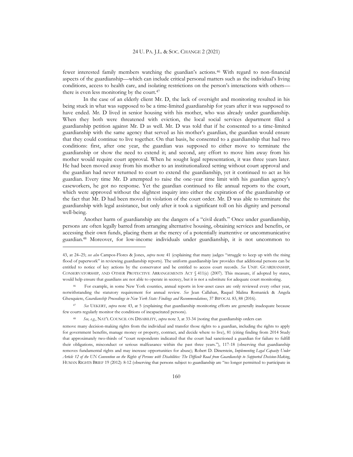fewer interested family members watching the guardian's actions.<sup>46</sup> With regard to non-financial aspects of the guardianship—which can include critical personal matters such as the individual's living conditions, access to health care, and isolating restrictions on the person's interactions with others there is even less monitoring by the court.<sup>47</sup>

In the case of an elderly client Mr. D, the lack of oversight and monitoring resulted in his being stuck in what was supposed to be a time-limited guardianship for years after it was supposed to have ended. Mr. D lived in senior housing with his mother, who was already under guardianship. When they both were threatened with eviction, the local social services department filed a guardianship petition against Mr. D as well. Mr. D was told that if he consented to a time-limited guardianship with the same agency that served as his mother's guardian, the guardian would ensure that they could continue to live together. On that basis, he consented to a guardianship that had two conditions: first, after one year, the guardian was supposed to either move to terminate the guardianship or show the need to extend it; and second, any effort to move him away from his mother would require court approval. When he sought legal representation, it was three years later. He had been moved away from his mother to an institutionalized setting without court approval and the guardian had never returned to court to extend the guardianship, yet it continued to act as his guardian. Every time Mr. D attempted to raise the one-year time limit with his guardian agency's caseworkers, he got no response. Yet the guardian continued to file annual reports to the court, which were approved without the slightest inquiry into either the expiration of the guardianship or the fact that Mr. D had been moved in violation of the court order. Mr. D was able to terminate the guardianship with legal assistance, but only after it took a significant toll on his dignity and personal well-being.

Another harm of guardianship are the dangers of a "civil death." Once under guardianship, persons are often legally barred from arranging alternative housing, obtaining services and benefits, or accessing their own funds, placing them at the mercy of a potentially inattentive or uncommunicative guardian.<sup>48</sup> Moreover, for low-income individuals under guardianship, it is not uncommon to

<sup>43,</sup> at 24–25; *see also* Campos-Flores & Jones, *supra* note 41 (explaining that many judges "struggle to keep up with the rising flood of paperwork" in reviewing guardianship reports). The uniform guardianship law provides that additional persons can be entitled to notice of key actions by the conservator and be entitled to access court records. *See* UNIF. GUARDIANSHIP, CONSERVATORSHIP, AND OTHER PROTECTIVE ARRANGEMENTS ACT § 411(e) (2007). This measure, if adopted by states, would help ensure that guardians are not able to operate in secrecy, but it is not a substitute for adequate court monitoring.

<sup>46</sup> For example, in some New York counties, annual reports in low-asset cases are only reviewed every other year, notwithstanding the statutory requirement for annual review. *See* Jean Callahan, Raquel Malina Romanick & Angela Ghesquiere, *Guardianship Proceedings in New York State: Findings and Recommendations*, 37 BIFOCAL 83, 88 (2016).

<sup>47</sup> *See* UEKERT, *supra* note 43, at 5 (explaining that guardianship monitoring efforts are generally inadequate because few courts regularly monitor the conditions of incapacitated persons).

<sup>48</sup> *See, e.g.*, NAT'L COUNCIL ON DISABILITY, *supra* note 3, at 33-34 (noting that guardianship orders can

remove many decision-making rights from the individual and transfer those rights to a guardian, including the rights to apply for government benefits, manage money or property, contract, and decide where to live), 81 (citing finding from 2014 Study that approximately two-thirds of "court respondents indicated that the court had sanctioned a guardian for failure to fulfill their obligations, misconduct or serious malfeasance within the past three years."), 117-18 (observing that guardianship removes fundamental rights and may increase opportunities for abuse); Robert D. Dinerstein, *Implementing Legal Capacity Under Article 12 of the UN Convention on the Rights of Persons with Disabilities: The Difficult Road from Guardianship to Supported Decision-Making*, HUMAN RIGHTS BRIEF 19 (2012): 8-12 (observing that persons subject to guardianship are "no longer permitted to participate in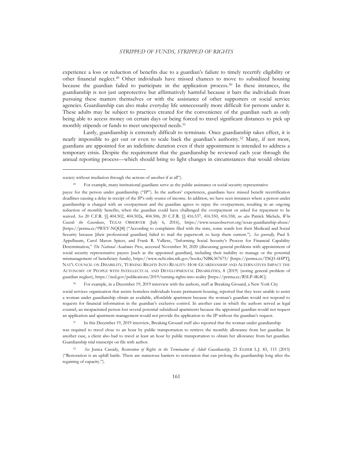experience a loss or reduction of benefits due to a guardian's failure to timely recertify eligibility or other financial neglect.<sup>49</sup> Other individuals have missed chances to move to subsidized housing because the guardian failed to participate in the application process.<sup>50</sup> In these instances, the guardianship is not just unprotective but affirmatively harmful because it bars the individuals from pursuing these matters themselves or with the assistance of other supporters or social service agencies. Guardianship can also make everyday life unnecessarily more difficult for persons under it. These adults may be subject to practices created for the convenience of the guardian such as only being able to access money on certain days or being forced to travel significant distances to pick up monthly stipends or funds to meet unexpected needs.<sup>51</sup>

Lastly, guardianship is extremely difficult to terminate. Once guardianship takes effect, it is nearly impossible to get out or even to scale back the guardian's authority.<sup>52</sup> Many, if not most, guardians are appointed for an indefinite duration even if their appointment is intended to address a temporary crisis. Despite the requirement that the guardianship be reviewed each year through the annual reporting process—which should bring to light changes in circumstances that would obviate

<sup>50</sup> For example, in a December 19, 2019 interview with the authors, staff at Breaking Ground, a New York City

social services organization that assists homeless individuals locate permanent housing, reported that they were unable to assist a woman under guardianship obtain an available, affordable apartment because the woman's guardian would not respond to requests for financial information in the guardian's exclusive control. In another case in which the authors served as legal counsel, an incapacitated person lost several potential subsidized apartments because the appointed guardian would not request an application and apartment management would not provide the application to the IP without the guardian's request.

<sup>51</sup> In this December 19, 2019 interview, Breaking Ground staff also reported that the woman under guardianship

was required to travel close to an hour by public transportation to retrieve the monthly allowance from her guardian. In another case, a client also had to travel at least an hour by public transportation to obtain her allowance from her guardian. Guardianship trial transcript on file with author.

<sup>52</sup> *See* Jenica Cassidy, *Restoration of Rights in the Termination of Adult Guardianship*, 23 ELDER L.J. 83, 115 (2015) ("Restoration is an uphill battle. There are numerous barriers to restoration that can prolong the guardianship long after the regaining of capacity.").

society without mediation through the actions of another if at all").

<sup>49</sup> For example, many institutional guardians serve as the public assistance or social security representative

payee for the person under guardianship ("IP"). In the authors' experiences, guardians have missed benefit recertification deadlines causing a delay in receipt of the IP's only source of income. In addition, we have seen instances where a person under guardianship is charged with an overpayment and the guardian agrees to repay the overpayment, resulting in an ongoing reduction of monthly benefits, when the guardian could have challenged the overpayment or asked for repayment to be waived. *See* 20 C.F.R. §§ 404.502, 404.502a, 404.506; 20 C.F.R. §§ 416.537, 416.550, 416.558; *see also* Patrick Michels, *Who Guards the Guardians*, TEXAS OBSERVER (July 6, 2016), https://www.texasobserver.org/texas-guardianship-abuse/ [https://perma.cc/9WEV-NQQ8] ("According to complaints filed with the state, some wards lost their Medicaid and Social Security because [their professional guardian] failed to mail the paperwork to keep them current."). *See generally,* Paul S. Appelbaum, Carol Mason Spicer, and Frank R. Valliere, "Informing Social Security's Process for Financial Capability Determination," *The National Academies Press*, accessed November 30, 2020 (discussing general problems with appointment of social security representative payees [such as the appointed guardian], including their inability to manage or the potential mismanagement of beneficiary funds), https://www.ncbi.nlm.nih.gov/books/NBK367675/ [https://perma.cc/TSQ3-6HPT]; NAT'L COUNCIL ON DISABILITY, TURNING RIGHTS INTO REALITY: HOW GUARDIANSHIP AND ALTERNATIVES IMPACT THE AUTONOMY OF PEOPLE WITH INTELLECTUAL AND DEVELOPMENTAL DISABILITIES, 8 (2019) (noting general problem of guardian neglect), https://ncd.gov/publications/2019/turning-rights-into-reality [https://perma.cc/R5LP-4K4C].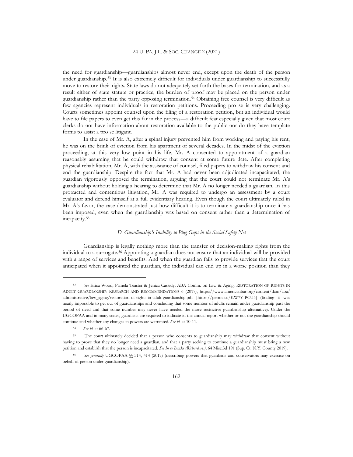the need for guardianship—guardianships almost never end, except upon the death of the person under guardianship.<sup>53</sup> It is also extremely difficult for individuals under guardianship to successfully move to restore their rights. State laws do not adequately set forth the bases for termination, and as a result either of state statute or practice, the burden of proof may be placed on the person under guardianship rather than the party opposing termination.<sup>54</sup> Obtaining free counsel is very difficult as few agencies represent individuals in restoration petitions. Proceeding pro se is very challenging. Courts sometimes appoint counsel upon the filing of a restoration petition, but an individual would have to file papers to even get this far in the process—a difficult feat especially given that most court clerks do not have information about restoration available to the public nor do they have template forms to assist a pro se litigant.

In the case of Mr. A, after a spinal injury prevented him from working and paying his rent, he was on the brink of eviction from his apartment of several decades. In the midst of the eviction proceeding, at this very low point in his life, Mr. A consented to appointment of a guardian reasonably assuming that he could withdraw that consent at some future date. After completing physical rehabilitation, Mr. A, with the assistance of counsel, filed papers to withdraw his consent and end the guardianship. Despite the fact that Mr. A had never been adjudicated incapacitated, the guardian vigorously opposed the termination, arguing that the court could not terminate Mr. A's guardianship without holding a hearing to determine that Mr. A no longer needed a guardian. In this protracted and contentious litigation, Mr. A was required to undergo an assessment by a court evaluator and defend himself at a full evidentiary hearing. Even though the court ultimately ruled in Mr. A's favor, the case demonstrated just how difficult it is to terminate a guardianship once it has been imposed, even when the guardianship was based on consent rather than a determination of incapacity.<sup>55</sup>

#### *D. Guardianship***'***s Inability to Plug Gaps in the Social Safety Net*

Guardianship is legally nothing more than the transfer of decision-making rights from the individual to a surrogate.<sup>56</sup> Appointing a guardian does not ensure that an individual will be provided with a range of services and benefits. And when the guardian fails to provide services that the court anticipated when it appointed the guardian, the individual can end up in a worse position than they

<sup>53</sup> *See* Erica Wood, Pamela Teaster & Jenica Cassidy, ABA Comm. on Law & Aging, RESTORATION OF RIGHTS IN ADULT GUARDIANSHIP: RESEARCH AND RECOMMENDATIONS 6 (2017), https://www.americanbar.org/content/dam/aba/ administrative/law\_aging/restoration-of-rights-in-adult-guardianship.pdf [https://perma.cc/KW7Y-PCU5] (finding it was nearly impossible to get out of guardianships and concluding that some number of adults remain under guardianship past the period of need and that some number may never have needed the more restrictive guardianship alternative). Under the UGCOPAA and in many states, guardians are required to indicate in the annual report whether or not the guardianship should continue and whether any changes in powers are warranted. *See id.* at 10-11.

<sup>54</sup> *See id.* at 66-67.

<sup>55</sup> The court ultimately decided that a person who consents to guardianship may withdraw that consent without having to prove that they no longer need a guardian, and that a party seeking to continue a guardianship must bring a new petition and establish that the person is incapacitated. *See In re Banks (Richard A*.*)*, 64 Misc.3d 191 (Sup. Ct. N.Y. County 2019).

<sup>56</sup> *See generally* UGCOPAA §§ 314, 414 (2017) (describing powers that guardians and conservators may exercise on behalf of person under guardianship).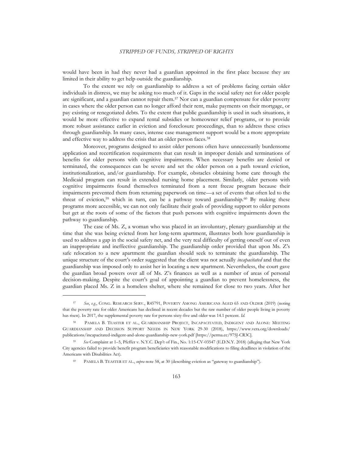would have been in had they never had a guardian appointed in the first place because they are limited in their ability to get help outside the guardianship.

To the extent we rely on guardianship to address a set of problems facing certain older individuals in distress, we may be asking too much of it. Gaps in the social safety net for older people are significant, and a guardian cannot repair them.<sup>57</sup> Nor can a guardian compensate for elder poverty in cases where the older person can no longer afford their rent, make payments on their mortgage, or pay existing or renegotiated debts. To the extent that public guardianship is used in such situations, it would be more effective to expand rental subsidies or homeowner relief programs, or to provide more robust assistance earlier in eviction and foreclosure proceedings, than to address these crises through guardianship. In many cases, intense case management support would be a more appropriate and effective way to address the crisis that an older person faces.<sup>58</sup>

Moreover, programs designed to assist older persons often have unnecessarily burdensome application and recertification requirements that can result in improper denials and terminations of benefits for older persons with cognitive impairments. When necessary benefits are denied or terminated, the consequences can be severe and set the older person on a path toward eviction, institutionalization, and/or guardianship. For example, obstacles obtaining home care through the Medicaid program can result in extended nursing home placement. Similarly, older persons with cognitive impairments found themselves terminated from a rent freeze program because their impairments prevented them from returning paperwork on time—a set of events that often led to the threat of eviction,<sup>59</sup> which in turn, can be a pathway toward guardianship.<sup>60</sup> By making these programs more accessible, we can not only facilitate their goals of providing support to older persons but get at the roots of some of the factors that push persons with cognitive impairments down the pathway to guardianship.

The case of Ms. Z, a woman who was placed in an involuntary, plenary guardianship at the time that she was being evicted from her long-term apartment, illustrates both how guardianship is used to address a gap in the social safety net, and the very real difficulty of getting oneself out of even an inappropriate and ineffective guardianship. The guardianship order provided that upon Ms. Z's safe relocation to a new apartment the guardian should seek to terminate the guardianship. The unique structure of the court's order suggested that the client was not actually *incapacitated* and that the guardianship was imposed only to assist her in locating a new apartment. Nevertheless, the court gave the guardian broad powers over all of Ms. Z's finances as well as a number of areas of personal decision-making. Despite the court's goal of appointing a guardian to prevent homelessness, the guardian placed Ms. Z in a homeless shelter, where she remained for close to two years. After her

<sup>57</sup> *See*, *e.g.*, CONG. RESEARCH SERV., R45791, POVERTY AMONG AMERICANS AGED 65 AND OLDER (2019) (noting that the poverty rate for older Americans has declined in recent decades but the raw number of older people living in poverty has risen). In 2017, the supplemental poverty rate for persons sixty-five and older was 14.1 percent. *Id.*

<sup>58</sup> PAMELA B. TEASTER ET AL., GUARDIANSHIP PROJECT, INCAPACITATED, INDIGENT AND ALONE: MEETING GUARDIANSHIP AND DECISION SUPPORT NEEDS IN NEW YORK 29-30 (2018), https://www.vera.org/downloads/ publications/incapacitated-indigent-and-alone-guardianship-new-york.pdf [https://perma.cc/975J-CR3C].

<sup>59</sup> *See* Complaint at 1–5, Pfeffer v. N.Y.C. Dep't of Fin., No. 1:15-CV-03547 (E.D.N.Y. 2018) (alleging that New York City agencies failed to provide benefit program beneficiaries with reasonable modifications to filing deadlines in violation of the Americans with Disabilities Act).

PAMELA B. TEASTER ET AL., *supra* note 58, at 30 (describing eviction as "gateway to guardianship").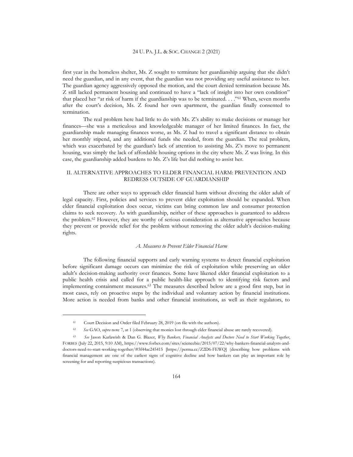first year in the homeless shelter, Ms. Z sought to terminate her guardianship arguing that she didn't need the guardian, and in any event, that the guardian was not providing any useful assistance to her. The guardian agency aggressively opposed the motion, and the court denied termination because Ms. Z still lacked permanent housing and continued to have a "lack of insight into her own condition" that placed her "at risk of harm if the guardianship was to be terminated. . . ."<sup>61</sup> When, seven months after the court's decision, Ms. Z found her own apartment, the guardian finally consented to termination.

The real problem here had little to do with Ms. Z's ability to make decisions or manage her finances—she was a meticulous and knowledgeable manager of her limited finances. In fact, the guardianship made managing finances worse, as Ms. Z had to travel a significant distance to obtain her monthly stipend, and any additional funds she needed, from the guardian. The real problem, which was exacerbated by the guardian's lack of attention to assisting Ms. Z's move to permanent housing, was simply the lack of affordable housing options in the city where Ms. Z was living. In this case, the guardianship added burdens to Ms. Z's life but did nothing to assist her.

#### II. ALTERNATIVE APPROACHES TO ELDER FINANCIAL HARM: PREVENTION AND REDRESS OUTSIDE OF GUARDIANSHIP

There are other ways to approach elder financial harm without divesting the older adult of legal capacity. First, policies and services to prevent elder exploitation should be expanded. When elder financial exploitation does occur, victims can bring common law and consumer protection claims to seek recovery. As with guardianship, neither of these approaches is guaranteed to address the problem.<sup>62</sup> However, they are worthy of serious consideration as alternative approaches because they prevent or provide relief for the problem without removing the older adult's decision-making rights.

#### *A. Measures to Prevent Elder Financial Harm*

The following financial supports and early warning systems to detect financial exploitation before significant damage occurs can minimize the risk of exploitation while preserving an older adult's decision-making authority over finances. Some have likened elder financial exploitation to a public health crisis and called for a public health-like approach to identifying risk factors and implementing containment measures.<sup>63</sup> The measures described below are a good first step, but in most cases, rely on proactive steps by the individual and voluntary action by financial institutions. More action is needed from banks and other financial institutions, as well as their regulators, to

<sup>&</sup>lt;sup>61</sup> Court Decision and Order filed February 28, 2019 (on file with the authors).

<sup>62</sup> *See* GAO, *supra* note 7, at 1 (observing that monies lost through elder financial abuse are rarely recovered).

<sup>63</sup> *See* Jason Karlawish & Dan G. Blazer, *Why Bankers, Financial Analysts and Doctors Need to Start Working Together*, FORBES (July 22, 2015, 9:10 AM), https://www.forbes.com/sites/sciencebiz/2015/07/22/why-bankers-financial-analysts-anddoctors-need-to-start-working-together/#5f44ac245415 [https://perma.cc/Z2D6-FEWQ] (describing how problems with financial management are one of the earliest signs of cognitive decline and how bankers can play an important role by screening for and reporting suspicious transactions).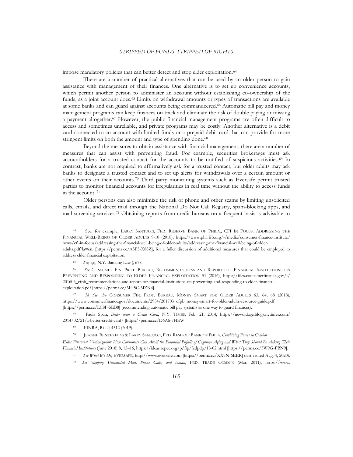impose mandatory policies that can better detect and stop elder exploitation.<sup>64</sup>

There are a number of practical alternatives that can be used by an older person to gain assistance with management of their finances. One alternative is to set up convenience accounts, which permit another person to administer an account without establishing co-ownership of the funds, as a joint account does.<sup>65</sup> Limits on withdrawal amounts or types of transactions are available at some banks and can guard against accounts being commandeered.<sup>66</sup> Automatic bill pay and money management programs can keep finances on track and eliminate the risk of double paying or missing a payment altogether.<sup>67</sup> However, the public financial management programs are often difficult to access and sometimes unreliable, and private programs may be costly. Another alternative is a debit card connected to an account with limited funds or a prepaid debit card that can provide for more stringent limits on both the amount and type of spending done.<sup>68</sup>

Beyond the measures to obtain assistance with financial management, there are a number of measures that can assist with preventing fraud. For example, securities brokerages must ask accountholders for a trusted contact for the accounts to be notified of suspicious activities.<sup>69</sup> In contrast, banks are not required to affirmatively ask for a trusted contact, but older adults may ask banks to designate a trusted contact and to set up alerts for withdrawals over a certain amount or other events on their accounts.<sup>70</sup> Third party monitoring systems such as Eversafe permit trusted parties to monitor financial accounts for irregularities in real time without the ability to access funds in the account. <sup>71</sup>

Older persons can also minimize the risk of phone and other scams by limiting unsolicited calls, emails, and direct mail through the National Do Not Call Registry, spam-blocking apps, and mail screening services.<sup>72</sup> Obtaining reports from credit bureaus on a frequent basis is advisable to

address elder financial exploitation.

<sup>67</sup> *Id. See also* CONSUMER FIN. PROT. BUREAU, MONEY SMART FOR OLDER ADULTS 63, 64, 68 (2018), https://www.consumerfinance.gov/documents/2954/201703\_cfpb\_money-smart-for-older-adults-resource-guide.pdf [https://perma.cc/LC8F-5EB8] (recommending automatic bill pay systems as one way to guard finances).

<sup>68</sup> Paula Span, *Better than a Credit Card*, N.Y. TIMES, Feb. 21, 2014, https://newoldage.blogs.nytimes.com/ 2014/02/21/a-better-credit-card/ [https://perma.cc/D6A6-7HEW].

<sup>69</sup> FINRA, RULE 4512 (2019).

*Elder Financial Victimization: How Consumers Can Avoid the Financial Pitfalls of Cognitive Aging and What They Should Be Asking Their Financial Institutions* (June 2018) 8, 15–16, https://ideas.repec.org/p/fip/fedpdp/18-02.html [https://perma.cc/5W9G-PBN9].

<sup>72</sup> *See Stopping Unsolicited Mail, Phone Calls, and Email*, FED. TRADE COMM'N (Mar. 2011), https://www.

<sup>64</sup> See, for example, LARRY SANTUCCI, FED. RESERVE BANK OF PHILA., CFI IN FOCUS: ADDRESSING THE FINANCIAL WELL-BEING OF OLDER ADULTS 9-10 (2018), https://www.phil.frb.org/-/media/consumer-finance-institute/ news/cfi-in-focus/addressing-the-financial-well-being-of-older-adults/addressing-the-financial-well-being-of-olderadults.pdf?la=en, [https://perma.cc/A5F5-X88Z], for a fuller discussion of additional measures that could be employed to

<sup>65</sup> *See, e.g.*, N.Y. Banking Law § 678.

<sup>66</sup> *See* CONSUMER FIN. PROT. BUREAU, RECOMMENDATIONS AND REPORT FOR FINANCIAL INSTITUTIONS ON PREVENTING AND RESPONDING TO ELDER FINANCIAL EXPLOITATION 51 (2016), https://files.consumerfinance.gov/f/ 201603\_cfpb\_recommendations-and-report-for-financial-institutions-on-preventing-and-responding-to-elder-financialexploitation.pdf [https://perma.cc/MH5C-MZK4].

<sup>70</sup> JEANNE RENTEZELAS & LARRY SANTUCCI, FED. RESERVE BANK OF PHILA, *Combining Forces to Combat*

<sup>71</sup> *See What We Do*, EVERSAFE, http://www.eversafe.com [https://perma.cc/XX7N-6EER] (last visited Aug. 4, 2020).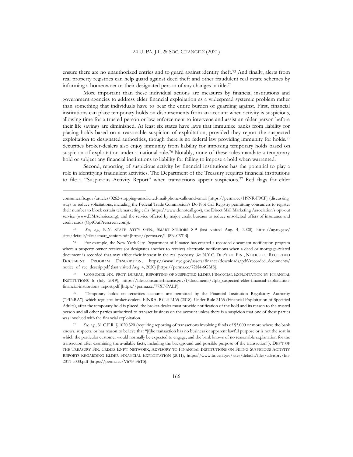ensure there are no unauthorized entries and to guard against identity theft.<sup>73</sup> And finally, alerts from real property registries can help guard against deed theft and other fraudulent real estate schemes by informing a homeowner or their designated person of any changes in title. 74

More important than these individual actions are measures by financial institutions and government agencies to address elder financial exploitation as a widespread systemic problem rather than something that individuals have to bear the entire burden of guarding against. First, financial institutions can place temporary holds on disbursements from an account when activity is suspicious, allowing time for a trusted person or law enforcement to intervene and assist an older person before their life savings are diminished. At least six states have laws that immunize banks from liability for placing holds based on a reasonable suspicion of exploitation, provided they report the suspected exploitation to designated authorities, though there is no federal law providing immunity for holds.<sup>75</sup> Securities broker-dealers also enjoy immunity from liability for imposing temporary holds based on suspicion of exploitation under a national rule.<sup>76</sup> Notably, none of these rules mandate a temporary hold or subject any financial institutions to liability for failing to impose a hold when warranted.

Second, reporting of suspicious activity by financial institutions has the potential to play a role in identifying fraudulent activities. The Department of the Treasury requires financial institutions to file a "Suspicious Activity Report" when transactions appear suspicious.<sup>77</sup> Red flags for elder

<sup>75</sup> CONSUMER FIN. PROT. BUREAU, REPORTING OF SUSPECTED ELDER FINANCIAL EXPLOITATION BY FINANCIAL INSTITUTIONS 6 (July 2019), https://files.consumerfinance.gov/f/documents/cfpb\_suspected-elder-financial-exploitationfinancial-institutions\_report.pdf [https://perma.cc/77X7-PALP].

<sup>76</sup> Temporary holds on securities accounts are permitted by the Financial Institution Regulatory Authority ("FINRA"), which regulates broker-dealers. FINRA, RULE 2165 (2018). Under Rule 2165 (Financial Exploitation of Specified Adults), after the temporary hold is placed, the broker-dealer must provide notification of the hold and its reason to the trusted person and all other parties authorized to transact business on the account unless there is a suspicion that one of these parties was involved with the financial exploitation.

consumer.ftc.gov/articles/0262-stopping-unsolicited-mail-phone-calls-and-email [https://perma.cc/H9NR-F9CP] (discussing ways to reduce solicitations, including the Federal Trade Commission's Do Not Call Registry permitting consumers to register their number to block certain telemarketing calls (https://www.donotcall.gov), the Direct Mail Marketing Association's opt-out service (www.DMAchoice.org), and the service offered by major credit bureaus to reduce unsolicited offers of insurance and credit cards (OptOutPrescreen.com)).

<sup>73</sup> *See, e.g.*, N.Y. STATE ATT'Y GEN., SMART SENIORS 8-9 (last visited Aug. 4, 2020), https://ag.ny.gov/ sites/default/files/smart\_seniors.pdf [https://perma.cc/UJ8N-C9TB].

<sup>74</sup> For example, the New York City Department of Finance has created a recorded document notification program where a property owner receives (or designates another to receive) electronic notifications when a deed or mortgage-related document is recorded that may affect their interest in the real property. *See* N.Y.C. DEP'T OF FIN., NOTICE OF RECORDED DOCUMENT PROGRAM DESCRIPTION, https://www1.nyc.gov/assets/finance/downloads/pdf/recorded\_documents/ notice\_of\_rec\_descrip.pdf (last visited Aug. 4, 2020) [https://perma.cc/72N4-6GM8].

See, e.g., 31 C.F.R. § 1020.320 (requiring reporting of transactions involving funds of \$5,000 or more where the bank knows, suspects, or has reason to believe that "[t]he transaction has no business or apparent lawful purpose or is not the sort in which the particular customer would normally be expected to engage, and the bank knows of no reasonable explanation for the transaction after examining the available facts, including the background and possible purpose of the transaction"); DEP'T OF THE TREASURY FIN. CRIMES ENF'T NETWORK, ADVISORY TO FINANCIAL INSTITUTIONS ON FILING SUSPICIOUS ACTIVITY REPORTS REGARDING ELDER FINANCIAL EXPLOITATION (2011), https://www.fincen.gov/sites/default/files/advisory/fin-2011-a003.pdf [https://perma.cc/V67F-F6TS].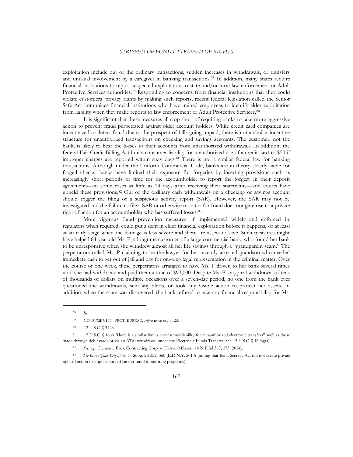exploitation include out of the ordinary transactions, sudden increases in withdrawals, or transfers and unusual involvement by a caregiver in banking transactions.<sup>78</sup> In addition, many states require financial institutions to report suspected exploitation to state and/or local law enforcement or Adult Protective Services authorities.<sup>79</sup> Responding to concerns from financial institutions that they could violate customers' privacy rights by making such reports, recent federal legislation called the Senior Safe Act immunizes financial institutions who have trained employees to identify elder exploitation from liability when they make reports to law enforcement or Adult Protective Services.<sup>80</sup>

It is significant that these measures all stop short of requiring banks to take more aggressive action to prevent fraud perpetrated against older account holders. While credit card companies are incentivized to detect fraud due to the prospect of bills going unpaid, there is not a similar incentive structure for unauthorized transactions on checking and savings accounts. The customer, not the bank, is likely to bear the losses to their accounts from unauthorized withdrawals. In addition, the federal Fair Credit Billing Act limits consumer liability for unauthorized use of a credit card to \$50 if improper charges are reported within sixty days.<sup>81</sup> There is not a similar federal law for banking transactions. Although under the Uniform Commercial Code, banks are in theory strictly liable for forged checks, banks have limited their exposure for forgeries by inserting provisions such as increasingly short periods of time for the accountholder to report the forgery in their deposit agreements—in some cases as little as 14 days after receiving their statements—and courts have upheld these provisions.<sup>82</sup> Out of the ordinary cash withdrawals on a checking or savings account should trigger the filing of a suspicious activity report (SAR). However, the SAR may not be investigated and the failure to file a SAR or otherwise monitor for fraud does not give rise to a private right of action for an accountholder who has suffered losses.<sup>83</sup>

More vigorous fraud prevention measures, if implemented widely and enforced by regulators when required, could put a dent in elder financial exploitation before it happens, or at least at an early stage when the damage is less severe and there are assets to save. Such measures might have helped 84-year old Ms. P, a longtime customer of a large commercial bank, who found her bank to be unresponsive when she withdrew almost all her life savings through a "grandparent scam." The perpetrators called Ms. P claiming to be the lawyer for her recently arrested grandson who needed immediate cash to get out of jail and pay for ongoing legal representation in the criminal matter. Over the course of one week, these perpetrators arranged to have Ms. P driven to her bank several times until she had withdrawn and paid them a total of \$93,000. Despite Ms. P's atypical withdrawal of tens of thousands of dollars on multiple occasions over a seven-day period, no one from the bank ever questioned the withdrawals, sent any alerts, or took any visible action to protect her assets. In addition, when the scam was discovered, the bank refused to take any financial responsibility for Ms.

<sup>78</sup> *Id.*

<sup>79</sup> CONSUMER FIN. PROT. BUREAU, *supra* note 66, at 23.

<sup>80 12</sup> U.S.C. § 3423.

<sup>81 15</sup> U.S.C. § 1666. There is a similar limit on consumer liability for "unauthorized electronic transfers" such as those made through debit cards or via an ATM withdrawal under the Electronic Funds Transfer Act. 15 U.S.C. § 1693g(a).

<sup>82</sup> *See, e.g.*, Clemente Bros. Contracting Corp. v. Hafner-Milazzo, 14 N.E.3d 367, 373 (2014).

<sup>83</sup> *See In re Agape Litig*., 681 F. Supp. 2d 352, 360 (E.D.N.Y. 2010) (noting that Bank Secrecy Act did not create private right of action or impose duty of care in fraud monitoring programs).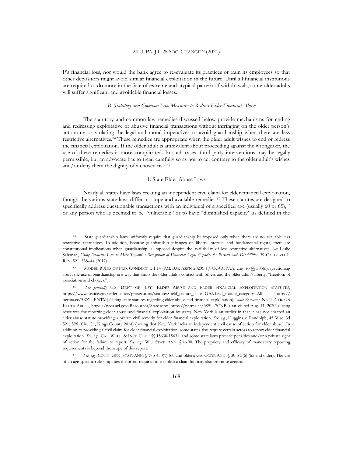P's financial loss, nor would the bank agree to re-evaluate its practices or train its employees so that other depositors might avoid similar financial exploitation in the future. Until all financial institutions are required to do more in the face of extreme and atypical pattern of withdrawals, some older adults will suffer significant and avoidable financial losses.

#### *B. Statutory and Common Law Measures to Redress Elder Financial Abuse*

The statutory and common law remedies discussed below provide mechanisms for ending and redressing exploitative or abusive financial transactions without infringing on the older person's autonomy or violating the legal and moral imperatives to avoid guardianship when there are less restrictive alternatives.<sup>84</sup> These remedies are appropriate when the older adult wishes to end or redress the financial exploitation. If the older adult is ambivalent about proceeding against the wrongdoer, the use of these remedies is more complicated. In such cases, third-party interventions may be legally permissible, but an advocate has to tread carefully so as not to act contrary to the older adult's wishes and/or deny them the dignity of a chosen risk.<sup>85</sup>

#### 1. State Elder Abuse Laws

Nearly all states have laws creating an independent civil claim for elder financial exploitation, though the various state laws differ in scope and available remedies.<sup>86</sup> These statutes are designed to specifically address questionable transactions with an individual of a specified age (usually 60 or 65), $87$ or any person who is deemed to be "vulnerable" or to have "diminished capacity" as defined in the

<sup>84</sup> State guardianship laws uniformly require that guardianship be imposed only when there are no available less restrictive alternatives. In addition, because guardianship infringes on liberty interests and fundamental rights, there are constitutional implications when guardianship is imposed despite the availability of less restrictive alternatives. *See* Leslie Salzman, *Using Domestic Law to Move Toward a Recognition of Universal Legal Capacity for Persons with Disabilities*, 39 CARDOZO L. REV. 521, 538–44 (2017).

<sup>85</sup> MODEL RULES OF PRO. CONDUCT r. 1.14 (AM. BAR ASS'N 2020). *Cf.* UGCOPAA, cmt. to §§ 503(d), (cautioning about the use of guardianship in a way that limits the older adult's contact with others and the older adult's liberty, "freedom of association and choices.").

<sup>86</sup> *See generally* U.S. DEP'T OF JUST., ELDER ABUSE AND ELDER FINANCIAL EXPLOITATION STATUTES, https://www.justice.gov/elderjustice/prosecutors/statutes?field\_statute\_state=GA&field\_statute\_category=All [https:// perma.cc/5RZU-PNTM] (listing state statutes regarding elder abuse and financial exploitation); *State Resources*, NAT'L CTR. ON ELDER ABUSE, https://ncea.acl.gov/Resources/State.aspx [https://perma.cc/3S5U-7CNB] (last visited Aug. 11, 2020) (listing resources for reporting elder abuse and financial exploitation by state). New York is an outlier in that it has not enacted an elder abuse statute providing a private civil remedy for elder financial exploitation. *See, e.g.*, Huggins v. Randolph, 45 Misc. 3d 521, 526 (Civ. Ct., Kings County 2014) (noting that New York lacks an independent civil cause of action for elder abuse). In addition to providing a civil claim for elder financial exploitation, some states also require certain actors to report elder financial exploitation. *See, e.g.*, CAL. WELF. & INST. CODE §§ 15630-15631, and some state laws provide penalties and/or a private right of action for the failure to report. *See, e.g.*, WIS. STAT. ANN. § 46.90. The propriety and efficacy of mandatory reporting requirements is beyond the scope of this report.

<sup>87</sup> *See, e.g.*, CONN. GEN. STAT. ANN. § 17b-450(1) (60 and older); GA. CODE ANN. § 30-5-3(6) (65 and older). The use of an age-specific rule simplifies the proof required to establish a claim but may also promote ageism.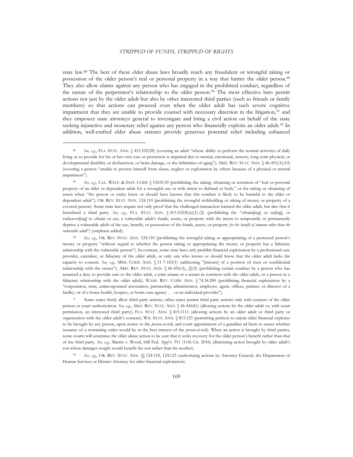state law.<sup>88</sup> The best of these elder abuse laws broadly reach any fraudulent or wrongful taking or possession of the older person's real or personal property in a way that harms the older person.<sup>89</sup> They also allow claims against any person who has engaged in the prohibited conduct, regardless of the nature of the perpetrator's relationship to the older person.<sup>90</sup> The most effective laws permit actions not just by the older adult but also by other interested third parties (such as friends or family members) so that actions can proceed even when the older adult has such severe cognitive impairment that they are unable to provide counsel with necessary direction in the litigation,<sup>91</sup> and they empower state attorneys general to investigate and bring a civil action on behalf of the state seeking injunctive and monetary relief against any person who financially exploits an older adult.<sup>92</sup> In addition, well-crafted elder abuse statutes provide generous potential relief including enhanced

<sup>91</sup> Some states freely allow third party actions, other states permit third party actions only with consent of the older person or court authorization. *See, e.g.*, ARIZ. REV. STAT. ANN. § 46-456(G) (allowing actions by the older adult or, with court permission, an interested third party); FLA. STAT. ANN. § 415.1111 (allowing actions by an older adult or third party or organization with the older adult's consent); WIS. STAT. ANN. § 813.123 (permitting petition to enjoin elder financial exploiter to be brought by any person, upon notice to the *person-at-risk*, and court appointment of a guardian ad litem to assess whether issuance of a restraining order would be in the best interest of the *person-at-risk*). When an action is brought by third parties, some courts will scrutinize the elder abuse action to be sure that it seeks recovery for the older person's benefit rather than that of the third party. *See, e.g.*, Martin v. Wood, 648 Fed. App'x. 911 (11th Cir. 2016) (dismissing action brought by older adult's son where damages sought would benefit the son rather than his mother).

See, e.g., OR. REV. STAT. ANN. §§ 124.110, 124.125 (authorizing actions by Attorney General, the Department of Human Services or District Attorney for elder financial exploitation).

<sup>88</sup> See, e.g., FLA. STAT. ANN. § 415.102(28) (covering an adult "whose ability to perform the normal activities of daily living or to provide for his or her own care or protection is impaired due to mental, emotional, sensory, long-term physical, or developmental disability or dysfunction, or brain damage, or the infirmities of aging"); ARIZ. REV. STAT. ANN. § 46-451(A)(10) (covering a person "unable to protect himself from abuse, neglect or exploitation by others because of a physical or mental impairment").

<sup>89</sup> See, e.g., CAL. WELF. & INST. CODE § 15610.30 (prohibiting the taking, obtaining or retention of "real or personal property of an elder or dependent adult for a wrongful use or with intent to defraud or both," or the taking or obtaining of assets when "the person or entity knew or should have known that this conduct is likely to be harmful to the elder or dependent adult"); OR. REV. STAT. ANN. 124.110 (prohibiting the wrongful withholding or taking of money or property of a covered person). Some state laws require not only proof that the challenged transaction harmed the older adult, but also that it benefitted a third party. *See, e.g.*, FLA. STAT. ANN. § 415.102(8)(a)(1)-(2) (prohibiting the "obtain[ing] or us[ing], or endeavor[ing] to obtain or use, a vulnerable adult's funds, assets, or property with the intent to temporarily or permanently deprive a vulnerable adult of the use, benefit, or possession of the funds, assets, or property *for the benefit of someone other than the vulnerable adult*") (emphasis added).

<sup>90</sup> *See, e.g.*, OR. REV. STAT. ANN. 124.110 (prohibiting the wrongful taking or appropriating of a protected person's money or property "without regard to whether the person taking or appropriating the money or property has a fiduciary relationship with the vulnerable person"). In contrast, some state laws only prohibit financial exploitation by a professional care provider, caretaker, or fiduciary of the older adult, or only one who knows or should know that the older adult lacks the capacity to consent. *See, e.g.*, MISS. CODE ANN. § 11-7-165(1) (addressing "[misuse] of a position of trust or confidential relationship with the owner"); ARIZ. REV. STAT. ANN. § 46-456(A), (J)(5) (prohibiting certain conduct by a person who has assumed a duty to provide care to the older adult, a joint tenant or a tenant in common with the older adult, or a person in a fiduciary relationship with the older adult); WASH. REV. CODE ANN. § 74.34.200 (prohibiting financial exploitation by a "corporation, trust, unincorporated association, partnership, administrator, employee, agent, officer, partner, or director of a facility, or of a home health, hospice, or home care agency . . . or an individual provider").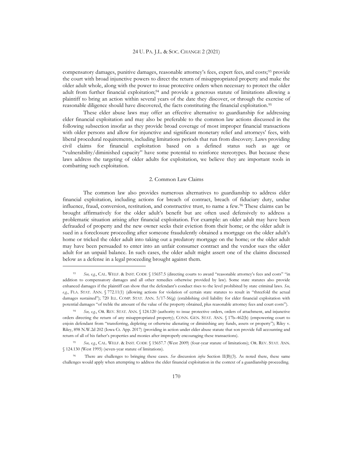compensatory damages, punitive damages, reasonable attorney's fees, expert fees, and costs;<sup>93</sup> provide the court with broad injunctive powers to direct the return of misappropriated property and make the older adult whole, along with the power to issue protective orders when necessary to protect the older adult from further financial exploitation;<sup>94</sup> and provide a generous statute of limitations allowing a plaintiff to bring an action within several years of the date they discover, or through the exercise of reasonable diligence should have discovered, the facts constituting the financial exploitation. 95

These elder abuse laws may offer an effective alternative to guardianship for addressing elder financial exploitation and may also be preferable to the common law actions discussed in the following subsection insofar as they provide broad coverage of most improper financial transactions with older persons and allow for injunctive and significant monetary relief and attorneys' fees, with liberal procedural requirements, including limitations periods that run from discovery. Laws providing civil claims for financial exploitation based on a defined status such as age or "vulnerability/diminished capacity" have some potential to reinforce stereotypes. But because these laws address the targeting of older adults for exploitation, we believe they are important tools in combatting such exploitation.

#### 2. Common Law Claims

The common law also provides numerous alternatives to guardianship to address elder financial exploitation, including actions for breach of contract, breach of fiduciary duty, undue influence, fraud, conversion, restitution, and constructive trust, to name a few.<sup>96</sup> These claims can be brought affirmatively for the older adult's benefit but are often used defensively to address a problematic situation arising after financial exploitation. For example: an older adult may have been defrauded of property and the new owner seeks their eviction from their home; or the older adult is sued in a foreclosure proceeding after someone fraudulently obtained a mortgage on the older adult's home or tricked the older adult into taking out a predatory mortgage on the home; or the older adult may have been persuaded to enter into an unfair consumer contract and the vendor sues the older adult for an unpaid balance. In such cases, the older adult might assert one of the claims discussed below as a defense in a legal proceeding brought against them.

<sup>93</sup> *See, e.g.*, CAL. WELF. & INST. CODE § 15657.5 (directing courts to award "reasonable attorney's fees and costs" "in addition to compensatory damages and all other remedies otherwise provided by law). Some state statutes also provide enhanced damages if the plaintiff can show that the defendant's conduct rises to the level prohibited by state criminal laws. *See, e.g*., FLA. STAT. ANN. § 772.11(1) (allowing actions for violation of certain state statutes to result in "threefold the actual damages sustained"); 720 ILL. COMP. STAT. ANN. 5/17-56(g) (establishing civil liability for elder financial exploitation with potential damages "of treble the amount of the value of the property obtained, plus reasonable attorney fees and court costs").

See, e.g., OR. REV. STAT. ANN. § 124.120 (authority to issue protective orders, orders of attachment, and injunctive orders directing the return of any misappropriated property); CONN. GEN. STAT. ANN. § 17b–462(b) (empowering court to enjoin defendant from "transferring, depleting or otherwise alienating or diminishing any funds, assets or property"); Riley v. Riley, 898 N.W.2d 202 (Iowa Ct. App. 2017) (providing in action under elder abuse statute that son provide full accounting and return of all of his father's properties and monies after improperly encouraging these transactions).

<sup>95</sup> *See, e.g.*, CAL. WELF. & INST. CODE § 15657.7 (West 2009) (four-year statute of limitations); OR. REV. STAT. ANN. § 124.130 (West 1995) (seven-year statute of limitations).

<sup>96</sup> There are challenges to bringing these cases. *See* discussion *infra* Section II(B)(3). As noted there, these same challenges would apply when attempting to address the elder financial exploitation in the context of a guardianship proceeding.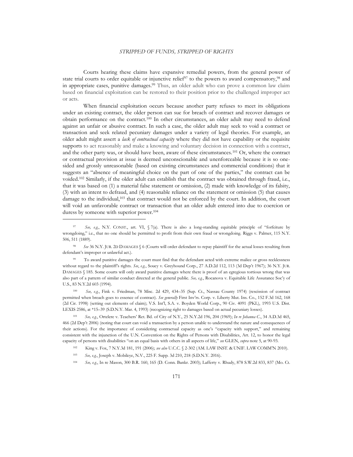Courts hearing these claims have expansive remedial powers, from the general power of state trial courts to order equitable or injunctive relief<sup>97</sup> to the powers to award compensatory,<sup>98</sup> and in appropriate cases, punitive damages. <sup>99</sup> Thus, an older adult who can prove a common law claim based on financial exploitation can be restored to their position prior to the challenged improper act or acts.

When financial exploitation occurs because another party refuses to meet its obligations under an existing contract, the older person can sue for breach of contract and recover damages or obtain performance on the contract.<sup>100</sup> In other circumstances, an older adult may need to defend against an unfair or abusive contract. In such a case, the older adult may seek to void a contract or transaction and seek related pecuniary damages under a variety of legal theories. For example, an older adult might assert a *lack of contractual capacity* where they did not have capability or the requisite supports to act reasonably and make a knowing and voluntary decision in connection with a contract, and the other party was, or should have been, aware of these circumstances.<sup>101</sup> Or, where the contract or contractual provision at issue is deemed unconscionable and unenforceable because it is so onesided and grossly unreasonable (based on existing circumstances and commercial conditions) that it suggests an "absence of meaningful choice on the part of one of the parties," the contract can be voided. <sup>102</sup> Similarly, if the older adult can establish that the contract was obtained through fraud, i.e., that it was based on (1) a material false statement or omission, (2) made with knowledge of its falsity, (3) with an intent to defraud, and (4) reasonable reliance on the statement or omission (5) that causes damage to the individual,<sup>103</sup> that contract would not be enforced by the court. In addition, the court will void an unfavorable contract or transaction that an older adult entered into due to coercion or duress by someone with superior power.<sup>104</sup>

<sup>100</sup> *See, e.g.*, Fink v. Friedman, 78 Misc. 2d 429, 434–35 (Sup. Ct., Nassau County 1974) (rescission of contract permitted when breach goes to essence of contract). *See generally* First Inv'rs. Corp. v. Liberty Mut. Ins. Co., 152 F.3d 162, 168 (2d Cir. 1998) (setting out elements of claim); V.S. Int'l, S.A. v. Boyden World Corp., 90 Civ. 4091 (PKL), 1993 U.S. Dist. LEXIS 2586, at \*15–39 (S.D.N.Y. Mar. 4, 1993) (recognizing right to damages based on actual pecuniary losses).

<sup>101</sup> *See, e.g.*, Ortelere v. Teachers' Ret. Bd. of City of N.Y., 25 N.Y.2d 196, 204 (1969); *In re Johanna C*., 34 A.D.3d 465, 466 (2d Dep't 2006) (noting that court can void a transaction by a person unable to understand the nature and consequences of their actions). For the importance of considering contractual capacity as one's "capacity with support," and remaining consistent with the injunction of the U.N. Convention on the Rights of Persons with Disabilities, Art. 12, to honor the legal capacity of persons with disabilities "on an equal basis with others in all aspects of life," *see* GLEN, *supra* note 5, at 90-93.

<sup>102</sup> King v. Fox, 7 N.Y.3d 181, 191 (2006); *see also* U.C.C. § 2-302 (AM. LAW INST. & UNIF. LAW COMM'N 2010).

<sup>103</sup> *See, e.g.*, Joseph v. Mobileye, N.V., 225 F. Supp. 3d 210, 218 (S.D.N.Y. 2016).

<sup>104</sup> *See, e.g.*, In re Mason, 300 B.R. 160, 165 (D. Conn. Bankr. 2003); Lafferty v. Rhudy, 878 S.W.2d 833, 837 (Mo. Ct.

See, e.g., N.Y. CONST., art. VI, § 7(a). There is also a long-standing equitable principle of "forfeiture by wrongdoing," i.e., that no one should be permitted to profit from their own fraud or wrongdoing. Riggs v. Palmer, 115 N.Y. 506, 511 (1889).

<sup>98</sup> *See* 36 N.Y. JUR. 2D DAMAGES § 6 (Courts will order defendant to repay plaintiff for the actual losses resulting from defendant's improper or unlawful act.).

<sup>&</sup>lt;sup>99</sup> To award punitive damages the court must find that the defendant acted with extreme malice or gross recklessness without regard to the plaintiff's rights. *See*, *e.g.*, Soucy v. Greyhound Corp., 27 A.D.2d 112, 113 (3d Dep't 1967); 36 N.Y. JUR. DAMAGES § 185. Some courts will only award punitive damages where there is proof of an egregious tortious wrong that was also part of a pattern of similar conduct directed at the general public. *See, e.g.*, Rocanova v. Equitable Life Assurance Soc'y of U.S., 83 N.Y.2d 603 (1994).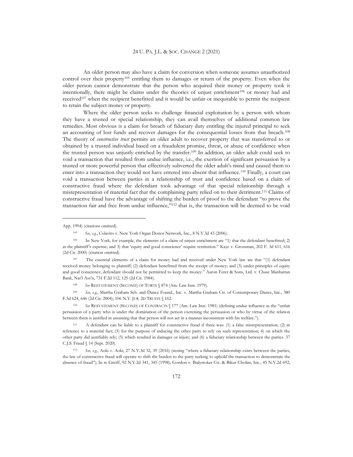An older person may also have a claim for conversion when someone assumes unauthorized control over their property<sup>105</sup> entitling them to damages or return of the property. Even when the older person cannot demonstrate that the person who acquired their money or property took it intentionally, there might be claims under the theories of unjust enrichment $106$  or money had and received<sup>107</sup> when the recipient benefitted and it would be unfair or inequitable to permit the recipient to retain the subject money or property.

Where the older person seeks to challenge financial exploitation by a person with whom they have a trusted or special relationship, they can avail themselves of additional common law remedies. Most obvious is a claim for breach of fiduciary duty entitling the injured principal to seek an accounting of lost funds and recover damages for the consequential losses from that breach.<sup>108</sup> The theory of *constructive trust* permits an older adult to recover property that was transferred to or obtained by a trusted individual based on a fraudulent promise, threat, or abuse of confidence when the trusted person was unjustly enriched by the transfer.<sup>109</sup> In addition, an older adult could seek to void a transaction that resulted from undue influence, i.e., the exertion of significant persuasion by a trusted or more powerful person that effectively subverted the older adult's mind and caused them to enter into a transaction they would not have entered into absent that influence.<sup>110</sup> Finally, a court can void a transaction between parties in a relationship of trust and confidence based on a claim of constructive fraud where the defendant took advantage of that special relationship through a misrepresentation of material fact that the complaining party relied on to their detriment.<sup>111</sup> Claims of constructive fraud have the advantage of shifting the burden of proof to the defendant "to prove the transaction fair and free from undue influence,"<sup>112</sup> that is, the transaction will be deemed to be void

<sup>109</sup> *See, e.g.*, Martha Graham Sch. and Dance Found., Inc. v. Martha Graham Ctr. of Contemporary Dance, Inc., 380 F.3d 624, 646 (2d Cir. 2004); 106 N.Y. JUR. 2D TRUSTS § 162.

<sup>110</sup> *See* RESTATEMENT (SECOND) OF CONTRACTS § 177 (Am. Law Inst. 1981) (defining undue influence as the "unfair persuasion of a party who is under the domination of the person exercising the persuasion or who by virtue of the relation between them is justified in assuming that that person will not act in a manner inconsistent with his welfare.").

<sup>111</sup> A defendant can be liable to a plaintiff for constructive fraud if there was: (1) a false misrepresentation; (2) in reference to a material fact; (3) for the purpose of inducing the other party to rely on such representation; 4) on which the other party did justifiably rely; (5) which resulted in damages or injury; and (6) a fiduciary relationship between the parties. 37 C.J.S. Fraud § 14 (Sept. 2020).

<sup>112</sup> *See, e.g.*, Aoki v. Aoki, 27 N.Y.3d 32, 39 (2016) (noting "where a fiduciary relationship exists between the parties, the law of constructive fraud will operate to shift the burden to the party seeking to uphold the transaction to demonstrate the absence of fraud"); In re Greiff, 92 N.Y.2d 341, 345 (1998); Gordon v. Bialystoker Ctr. & Bikur Cholim, Inc., 45 N.Y.2d 692,

App. 1994) (citations omitted).

<sup>105</sup> *See, e.g.*, Colavito v. New York Organ Donor Network, Inc., 8 N.Y.3d 43 (2006).

<sup>106</sup> In New York, for example, the elements of a claim of unjust enrichment are "1) that the defendant benefitted; 2) at the plaintiff's expense; and 3) that 'equity and good conscience' require restitution." Kaye v. Grossman, 202 F. 3d 611, 616 (2d Cir. 2000) (citation omitted).

<sup>107</sup> The essential elements of a claim for money had and received under New York law are that "(1) defendant received money belonging to plaintiff; (2) defendant benefitted from the receipt of money; and (3) under principles of equity and good conscience, defendant should not be permitted to keep the money." Aaron Ferer & Sons, Ltd. v. Chase Manhattan Bank, Nat'l Ass'n, 731 F.2d 112, 125 (2d Cir. 1984).

<sup>108</sup> *See* RESTATEMENT (SECOND) OF TORTS § 874 (Am. Law Inst. 1979).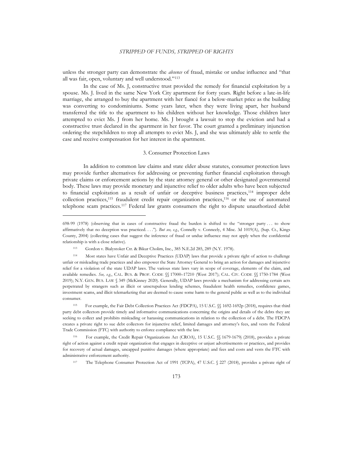unless the stronger party can demonstrate the *absence* of fraud, mistake or undue influence and "that all was fair, open, voluntary and well understood."<sup>113</sup>

In the case of Ms. J, constructive trust provided the remedy for financial exploitation by a spouse. Ms. J. lived in the same New York City apartment for forty years. Right before a late-in-life marriage, she arranged to buy the apartment with her fiancé for a below-market price as the building was converting to condominiums. Some years later, when they were living apart, her husband transferred the title to the apartment to his children without her knowledge. Those children later attempted to evict Ms. J from her home. Ms. J brought a lawsuit to stop the eviction and had a constructive trust declared in the apartment in her favor. The court granted a preliminary injunction ordering the stepchildren to stop all attempts to evict Ms. J, and she was ultimately able to settle the case and receive compensation for her interest in the apartment.

#### 3. Consumer Protection Laws

In addition to common law claims and state elder abuse statutes, consumer protection laws may provide further alternatives for addressing or preventing further financial exploitation through private claims or enforcement actions by the state attorney general or other designated governmental body. These laws may provide monetary and injunctive relief to older adults who have been subjected to financial exploitation as a result of unfair or deceptive business practices,<sup>114</sup> improper debt collection practices,<sup>115</sup> fraudulent credit repair organization practices, <sup>116</sup> or the use of automated telephone scam practices.<sup>117</sup> Federal law grants consumers the right to dispute unauthorized debit

<sup>117</sup> The Telephone Consumer Protection Act of 1991 (TCPA), 47 U.S.C. § 227 (2018), provides a private right of

<sup>698-99</sup> (1978) (observing that in cases of constructive fraud the burden is shifted to the "stronger party . . . to show affirmatively that no deception was practiced. . . ."). *But see, e.g.*, Connelly v. Conneely, 4 Misc. 3d 1019(A), (Sup. Ct., Kings County, 2004) (collecting cases that suggest the inference of fraud or undue influence may not apply when the confidential relationship is with a close relative).

<sup>113</sup> Gordon v. Bialystoker Ctr. & Bikur Cholim, Inc., 385 N.E.2d 285, 289 (N.Y. 1978).

<sup>114</sup> Most states have Unfair and Deceptive Practices (UDAP) laws that provide a private right of action to challenge unfair or misleading trade practices and also empower the State Attorney General to bring an action for damages and injunctive relief for a violation of the state UDAP laws. The various state laws vary in scope of coverage, elements of the claim, and available remedies. *See, e.g.*, CAL. BUS. & PROF. CODE §§ 17000–17210 (West 2017); CAL. CIV. CODE §§ 1750-1784 (West 2019); N.Y. GEN. BUS. LAW § 349 (McKinney 2020). Generally, UDAP laws provide a mechanism for addressing certain acts perpetrated by strangers such as illicit or unscrupulous lending schemes, fraudulent health remedies, confidence games, investment scams, and illicit telemarketing that are deemed to cause some harm to the general public as well as to the individual consumer.

<sup>115</sup> For example, the Fair Debt Collection Practices Act (FDCPA), 15 U.S.C. §§ 1692-1692p (2018), requires that third party debt collectors provide timely and informative communications concerning the origins and details of the debts they are seeking to collect and prohibits misleading or harassing communications in relation to the collection of a debt. The FDCPA creates a private right to sue debt collectors for injunctive relief, limited damages and attorney's fees, and vests the Federal Trade Commission (FTC) with authority to enforce compliance with the law.

<sup>116</sup> For example, the Credit Repair Organizations Act (CROA), 15 U.S.C. §§ 1679-1679j (2018), provides a private right of action against a credit repair organization that engages in deceptive or unjust advertisements or practices, and provides for recovery of actual damages, uncapped punitive damages (where appropriate) and fees and costs and vests the FTC with administrative enforcement authority.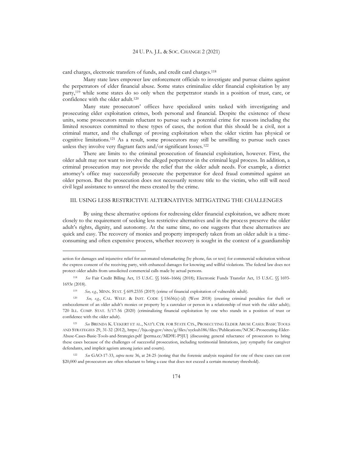card charges, electronic transfers of funds, and credit card charges.<sup>118</sup>

Many state laws empower law enforcement officials to investigate and pursue claims against the perpetrators of elder financial abuse. Some states criminalize elder financial exploitation by any party,<sup>119</sup> while some states do so only when the perpetrator stands in a position of trust, care, or confidence with the older adult.<sup>120</sup>

Many state prosecutors' offices have specialized units tasked with investigating and prosecuting elder exploitation crimes, both personal and financial. Despite the existence of these units, some prosecutors remain reluctant to pursue such a potential crime for reasons including the limited resources committed to these types of cases, the notion that this should be a civil, not a criminal matter, and the challenge of proving exploitation when the older victim has physical or cognitive limitations.<sup>121</sup> As a result, some prosecutors may still be unwilling to pursue such cases unless they involve very flagrant facts and/or significant losses.<sup>122</sup>

There are limits to the criminal prosecution of financial exploitation, however. First, the older adult may not want to involve the alleged perpetrator in the criminal legal process. In addition, a criminal prosecution may not provide the relief that the older adult needs. For example, a district attorney's office may successfully prosecute the perpetrator for deed fraud committed against an older person. But the prosecution does not necessarily restore title to the victim, who still will need civil legal assistance to unravel the mess created by the crime.

#### III. USING LESS RESTRICTIVE ALTERNATIVES: MITIGATING THE CHALLENGES

By using these alternative options for redressing elder financial exploitation, we adhere more closely to the requirement of seeking less restrictive alternatives and in the process preserve the older adult's rights, dignity, and autonomy. At the same time, no one suggests that these alternatives are quick and easy. The recovery of monies and property improperly taken from an older adult is a timeconsuming and often expensive process, whether recovery is sought in the context of a guardianship

action for damages and injunctive relief for automated telemarketing (by phone, fax or text) for commercial solicitation without the express consent of the receiving party, with enhanced damages for knowing and willful violations. The federal law does not protect older adults from unsolicited commercial calls made by actual persons.

<sup>118</sup> *See* Fair Credit Billing Act, 15 U.S.C. §§ 1666–1666j (2018); Electronic Funds Transfer Act, 15 U.S.C. §§ 1693- 1693r (2018).

<sup>119</sup> *See, e.g.*, MINN. STAT. § 609.2335 (2019) (crime of financial exploitation of vulnerable adult).

<sup>120</sup> *See, e.g.*, CAL. WELF. & INST. CODE § 15656(c)-(d) (West 2018) (creating criminal penalties for theft or embezzlement of an older adult's monies or property by a caretaker or person in a relationship of trust with the older adult); 720 ILL. COMP. STAT. 5/17-56 (2020) (criminalizing financial exploitation by one who stands in a position of trust or confidence with the older adult).

<sup>121</sup> *See* BRENDA K. UEKERT ET AL., NAT'L CTR. FOR STATE CTS., PROSECUTING ELDER ABUSE CASES: BASIC TOOLS AND STRATEGIES 29, 31-32 (2012), https://bja.ojp.gov/sites/g/files/xyckuh186/files/Publications/NCSC-Prosecuting-Elder-Abuse-Cases-Basic-Tools-and-Strategies.pdf [perma.cc/MD9E-P5JU] (discussing general reluctance of prosecutors to bring these cases because of the challenges of successful prosecution, including testimonial limitations, jury sympathy for caregiver defendants, and implicit ageism among juries and courts).

<sup>122</sup> *See* GAO-17-33, *supra* note 36, at 24-25 (noting that the forensic analysis required for one of these cases can cost \$20,000 and prosecutors are often reluctant to bring a case that does not exceed a certain monetary threshold).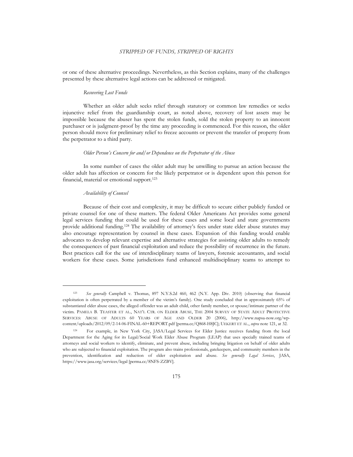or one of these alternative proceedings. Nevertheless, as this Section explains, many of the challenges presented by these alternative legal actions can be addressed or mitigated.

#### *Recovering Lost Funds*

Whether an older adult seeks relief through statutory or common law remedies or seeks injunctive relief from the guardianship court, as noted above, recovery of lost assets may be impossible because the abuser has spent the stolen funds, sold the stolen property to an innocent purchaser or is judgment-proof by the time any proceeding is commenced. For this reason, the older person should move for preliminary relief to freeze accounts or prevent the transfer of property from the perpetrator to a third party.

#### *Older Person's Concern for and/or Dependence on the Perpetrator of the Abuse*

In some number of cases the older adult may be unwilling to pursue an action because the older adult has affection or concern for the likely perpetrator or is dependent upon this person for financial, material or emotional support.<sup>123</sup>

#### *Availability of Counsel*

Because of their cost and complexity, it may be difficult to secure either publicly funded or private counsel for one of these matters. The federal Older Americans Act provides some general legal services funding that could be used for these cases and some local and state governments provide additional funding.<sup>124</sup> The availability of attorney's fees under state elder abuse statutes may also encourage representation by counsel in these cases. Expansion of this funding would enable advocates to develop relevant expertise and alternative strategies for assisting older adults to remedy the consequences of past financial exploitation and reduce the possibility of recurrence in the future. Best practices call for the use of interdisciplinary teams of lawyers, forensic accountants, and social workers for these cases. Some jurisdictions fund enhanced multidisciplinary teams to attempt to

See generally Campbell v. Thomas, 897 N.Y.S.2d 460, 462 (N.Y. App. Div. 2010) (observing that financial exploitation is often perpetrated by a member of the victim's family). One study concluded that in approximately 65% of substantiated elder abuse cases, the alleged offender was an adult child, other family member, or spouse/intimate partner of the victim. PAMELA B. TEASTER ET AL., NAT'L CTR. ON ELDER ABUSE, THE 2004 SURVEY OF STATE ADULT PROTECTIVE SERVICES: ABUSE OF ADULTS 60 YEARS OF AGE AND OLDER 20 (2006), http://www.napsa-now.org/wpcontent/uploads/2012/09/2-14-06-FINAL-60+REPORT.pdf [perma.cc/Q868-H8JC]; UEKERT ET AL., *supra* note 121, at 32.

<sup>124</sup> For example, in New York City, JASA/Legal Services for Elder Justice receives funding from the local Department for the Aging for its Legal/Social Work Elder Abuse Program (LEAP) that uses specially trained teams of attorneys and social workers to identify, eliminate, and prevent abuse, including bringing litigation on behalf of older adults who are subjected to financial exploitation. The program also trains professionals, gatekeepers, and community members in the prevention, identification and reduction of elder exploitation and abuse. *See generally Legal Services*, JASA, https://www.jasa.org/services/legal [perma.cc/8NFS-ZZBV].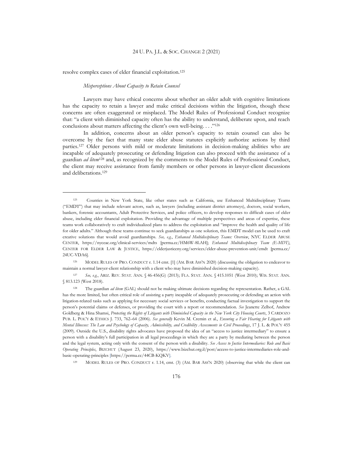resolve complex cases of elder financial exploitation.<sup>125</sup>

#### *Misperceptions About Capacity to Retain Counsel*

Lawyers may have ethical concerns about whether an older adult with cognitive limitations has the capacity to retain a lawyer and make critical decisions within the litigation, though these concerns are often exaggerated or misplaced. The Model Rules of Professional Conduct recognize that: "a client with diminished capacity often has the ability to understand, deliberate upon, and reach conclusions about matters affecting the client's own well-being. . . ."<sup>126</sup>

In addition, concerns about an older person's capacity to retain counsel can also be overcome by the fact that many state elder abuse statutes explicitly authorize actions by third parties.<sup>127</sup> Older persons with mild or moderate limitations in decision-making abilities who are incapable of adequately prosecuting or defending litigation can also proceed with the assistance of a guardian *ad litem*<sup>128</sup> and, as recognized by the comments to the Model Rules of Professional Conduct, the client may receive assistance from family members or other persons in lawyer-client discussions and deliberations.<sup>129</sup>

<sup>125</sup> Counties in New York State, like other states such as California, use Enhanced Multidisciplinary Teams ("EMDT") that may include relevant actors, such as, lawyers (including assistant district attorneys), doctors, social workers, bankers, forensic accountants, Adult Protective Services, and police officers, to develop responses to difficult cases of elder abuse, including elder financial exploitation. Providing the advantage of multiple perspectives and areas of expertise, these teams work collaboratively to craft individualized plans to address the exploitation and "improve the health and quality of life for older adults." Although these teams continue to seek guardianships as one solution, this EMDT model can be used to craft creative solutions that would avoid guardianships. *See, e.g.*, *Enhanced Multidisciplinary Teams: Overview*, NYC ELDER ABUSE CENTER, https://nyceac.org/clinical-services/mdts [perma.cc/HM6W-8LAH]; *Enhanced Multidisciplinary Team (E-MDT)*, CENTER FOR ELDER LAW & JUSTICE, https://elderjusticeny.org/services/elder-abuse-prevention-unit/emdt [perma.cc/ 24UC-VDA6].

<sup>126</sup> MODEL RULES OF PRO. CONDUCT r. 1.14 cmt. [1] (AM. BAR ASS'N 2020) (discussing the obligation to endeavor to maintain a normal lawyer-client relationship with a client who may have diminished decision-making capacity).

<sup>127</sup> *See, e.g.*, ARIZ. REV. STAT. ANN. § 46-456(G) (2013); FLA. STAT. ANN. § 415.1051 (West 2010); WIS. STAT. ANN. § 813.123 (West 2018).

<sup>128</sup> The guardian *ad litem* (GAL) should not be making ultimate decisions regarding the representation. Rather, a GAL has the more limited, but often critical role of assisting a party incapable of adequately prosecuting or defending an action with litigation-related tasks such as applying for necessary social services or benefits, conducting factual investigation to support the person's potential claims or defenses, or providing the court with a report or recommendation. *See* Jeanette Zelhof, Andrew Goldberg & Hina Shamsi, *Protecting the Rights of Litigants with Diminished Capacity in the New York City Housing Courts*, 3 CARDOZO PUB. L. POL'Y & ETHICS J. 733, 762–64 (2006). *See generally* Kevin M. Cremin et al., *Ensuring a Fair Hearing for Litigants with Mental Illnesses: The Law and Psychology of Capacity, Admissibility, and Credibility Assessments in Civil Proceedings*, 17 J. L. & POL'Y 455 (2009). Outside the U.S., disability rights advocates have proposed the idea of an "access to justice intermediary" to ensure a person with a disability's full participation in all legal proceedings in which they are a party by mediating between the person and the legal system, acting only with the consent of the person with a disability. *See Access to Justice Intermediaries: Role and Basic Operating Principles*, BIZCHUT (August 23, 2020), https://www.bizchut.org.il/post/access-to-justice-intermediaries-role-andbasic-operating-principles [https://perma.cc/44CB-KQKV].

<sup>129</sup> MODEL RULES OF PRO. CONDUCT r. 1.14, cmt. (3) (AM. BAR ASS'N 2020) (observing that while the client can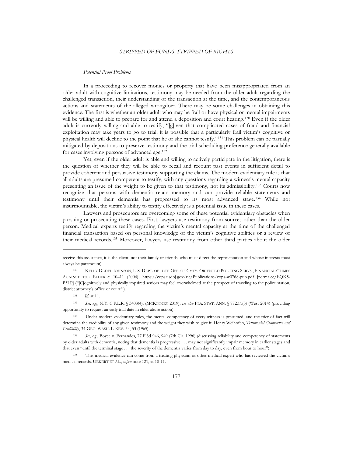#### *Potential Proof Problems*

In a proceeding to recover monies or property that have been misappropriated from an older adult with cognitive limitations, testimony may be needed from the older adult regarding the challenged transaction, their understanding of the transaction at the time, and the contemporaneous actions and statements of the alleged wrongdoer. There may be some challenges in obtaining this evidence. The first is whether an older adult who may be frail or have physical or mental impairments will be willing and able to prepare for and attend a deposition and court hearing.<sup>130</sup> Even if the older adult is currently willing and able to testify, "[g]iven that complicated cases of fraud and financial exploitation may take years to go to trial, it is possible that a particularly frail victim's cognitive or physical health will decline to the point that he or she cannot testify."<sup>131</sup> This problem can be partially mitigated by depositions to preserve testimony and the trial scheduling preference generally available for cases involving persons of advanced age.<sup>132</sup>

Yet, even if the older adult is able and willing to actively participate in the litigation, there is the question of whether they will be able to recall and recount past events in sufficient detail to provide coherent and persuasive testimony supporting the claims. The modern evidentiary rule is that all adults are presumed competent to testify, with any questions regarding a witness's mental capacity presenting an issue of the weight to be given to that testimony, not its admissibility.<sup>133</sup> Courts now recognize that persons with dementia retain memory and can provide reliable statements and testimony until their dementia has progressed to its most advanced stage.<sup>134</sup> While not insurmountable, the victim's ability to testify effectively is a potential issue in these cases.

Lawyers and prosecutors are overcoming some of these potential evidentiary obstacles when pursuing or prosecuting these cases. First, lawyers use testimony from sources other than the older person. Medical experts testify regarding the victim's mental capacity at the time of the challenged financial transaction based on personal knowledge of the victim's cognitive abilities or a review of their medical records.<sup>135</sup> Moreover, lawyers use testimony from other third parties about the older

<sup>132</sup> *See, e.g*., N.Y. C.P.L.R. § 3403(4). (MCKINNEY 2019); *see also* FLA. STAT. ANN. § 772.11(5) (West 2014) (providing opportunity to request an early trial date in elder abuse action).

<sup>133</sup> Under modern evidentiary rules, the mental competency of every witness is presumed, and the trier of fact will determine the credibility of any given testimony and the weight they wish to give it. Henry Weihofen, *Testimonial Competence and Credibility*, 34 GEO. WASH. L. REV. 53, 53 (1965).

<sup>134</sup> *See, e.g.*, Boyce v. Fernandes, 77 F.3d 946, 949 (7th Cir. 1996) (discussing reliability and competency of statements by older adults with dementia, noting that dementia is progressive . . . may not significantly impair memory in earlier stages and that even "until the terminal stage . . . the severity of the dementia varies from day to day, even from hour to hour").

<sup>135</sup> This medical evidence can come from a treating physician or other medical expert who has reviewed the victim's medical records. UEKERT ET AL., *supra* note 121, at 10-11.

receive this assistance, it is the client, not their family or friends, who must direct the representation and whose interests must always be paramount).

<sup>130</sup> KELLY DEDEL JOHNSON, U.S. DEPT. OF JUST. OFF. OF CMTY. ORIENTED POLICING SERVS., FINANCIAL CRIMES AGAINST THE ELDERLY 10–11 (2004), https://cops.usdoj.gov/ric/Publications/cops-w0768-pub.pdf [perma.cc/EQK5- P3LP] ("[C]ognitively and physically impaired seniors may feel overwhelmed at the prospect of traveling to the police station, district attorney's office or court.").

<sup>131</sup> *Id.* at 11.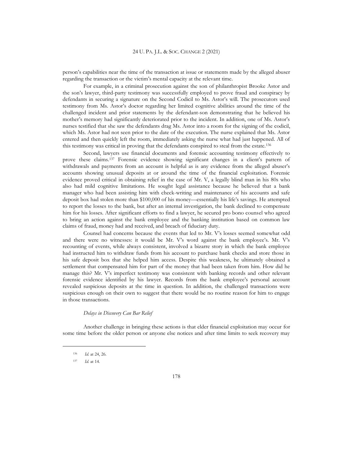person's capabilities near the time of the transaction at issue or statements made by the alleged abuser regarding the transaction or the victim's mental capacity at the relevant time.

For example, in a criminal prosecution against the son of philanthropist Brooke Astor and the son's lawyer, third-party testimony was successfully employed to prove fraud and conspiracy by defendants in securing a signature on the Second Codicil to Ms. Astor's will. The prosecutors used testimony from Ms. Astor's doctor regarding her limited cognitive abilities around the time of the challenged incident and prior statements by the defendant-son demonstrating that he believed his mother's memory had significantly deteriorated prior to the incident. In addition, one of Ms. Astor's nurses testified that she saw the defendants drag Ms. Astor into a room for the signing of the codicil, which Ms. Astor had not seen prior to the date of the execution. The nurse explained that Ms. Astor entered and then quickly left the room, immediately asking the nurse what had just happened. All of this testimony was critical in proving that the defendants conspired to steal from the estate.<sup>136</sup>

Second, lawyers use financial documents and forensic accounting testimony effectively to prove these claims.<sup>137</sup> Forensic evidence showing significant changes in a client's pattern of withdrawals and payments from an account is helpful as is any evidence from the alleged abuser's accounts showing unusual deposits at or around the time of the financial exploitation. Forensic evidence proved critical in obtaining relief in the case of Mr. V, a legally blind man in his 80s who also had mild cognitive limitations. He sought legal assistance because he believed that a bank manager who had been assisting him with check-writing and maintenance of his accounts and safe deposit box had stolen more than \$100,000 of his money—essentially his life's savings. He attempted to report the losses to the bank, but after an internal investigation, the bank declined to compensate him for his losses. After significant efforts to find a lawyer, he secured pro bono counsel who agreed to bring an action against the bank employee and the banking institution based on common law claims of fraud, money had and received, and breach of fiduciary duty.

Counsel had concerns because the events that led to Mr. V's losses seemed somewhat odd and there were no witnesses: it would be Mr. V's word against the bank employee's. Mr. V's recounting of events, while always consistent, involved a bizarre story in which the bank employee had instructed him to withdraw funds from his account to purchase bank checks and store those in his safe deposit box that she helped him access. Despite this weakness, he ultimately obtained a settlement that compensated him for part of the money that had been taken from him. How did he manage this? Mr. V's imperfect testimony was consistent with banking records and other relevant forensic evidence identified by his lawyer. Records from the bank employee's personal account revealed suspicious deposits at the time in question. In addition, the challenged transactions were suspicious enough on their own to suggest that there would be no routine reason for him to engage in those transactions.

#### *Delays in Discovery Can Bar Relief*

Another challenge in bringing these actions is that elder financial exploitation may occur for some time before the older person or anyone else notices and after time limits to seek recovery may

<sup>136</sup> *Id.* at 24, 26.

<sup>137</sup> *Id.* at 14.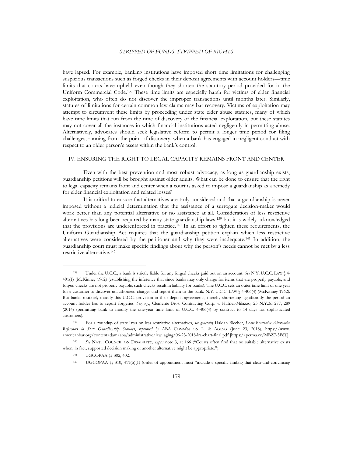have lapsed. For example, banking institutions have imposed short time limitations for challenging suspicious transactions such as forged checks in their deposit agreements with account holders—time limits that courts have upheld even though they shorten the statutory period provided for in the Uniform Commercial Code.<sup>138</sup> These time limits are especially harsh for victims of elder financial exploitation, who often do not discover the improper transactions until months later. Similarly, statutes of limitations for certain common law claims may bar recovery. Victims of exploitation may attempt to circumvent these limits by proceeding under state elder abuse statutes, many of which have time limits that run from the time of discovery of the financial exploitation, but these statutes may not cover all the instances in which financial institutions acted negligently in permitting abuse. Alternatively, advocates should seek legislative reform to permit a longer time period for filing challenges, running from the point of discovery, when a bank has engaged in negligent conduct with respect to an older person's assets within the bank's control.

#### IV. ENSURING THE RIGHT TO LEGAL CAPACITY REMAINS FRONT AND CENTER

Even with the best prevention and most robust advocacy, as long as guardianship exists, guardianship petitions will be brought against older adults. What can be done to ensure that the right to legal capacity remains front and center when a court is asked to impose a guardianship as a remedy for elder financial exploitation and related losses?

It is critical to ensure that alternatives are truly considered and that a guardianship is never imposed without a judicial determination that the assistance of a surrogate decision-maker would work better than any potential alternative or no assistance at all. Consideration of less restrictive alternatives has long been required by many state guardianship laws,<sup>139</sup> but it is widely acknowledged that the provisions are underenforced in practice.<sup>140</sup> In an effort to tighten these requirements, the Uniform Guardianship Act requires that the guardianship petition explain which less restrictive alternatives were considered by the petitioner and why they were inadequate.<sup>141</sup> In addition, the guardianship court must make specific findings about why the person's needs cannot be met by a less restrictive alternative.<sup>142</sup>

<sup>138</sup> Under the U.C.C., a bank is strictly liable for any forged checks paid out on an account. *See* N.Y. U.C.C. LAW § 4- 401(1) (McKinney 1962) (establishing the inference that since banks may only charge for items that are properly payable, and forged checks are not properly payable, such checks result in liability for banks). The U.C.C. sets an outer time limit of one year for a customer to discover unauthorized charges and report them to the bank. N.Y. U.C.C. LAW § 4-406(4) (McKinney 1962). But banks routinely modify this U.C.C. provision in their deposit agreements, thereby shortening significantly the period an account holder has to report forgeries. *See, e.g.*, Clemente Bros. Contracting Corp. v. Hafner-Milazzo, 23 N.Y.3d 277, 289 (2014) (permitting bank to modify the one-year time limit of U.C.C. 4-406(4) by contract to 14 days for sophisticated customers).

<sup>139</sup> For a roundup of state laws on less restrictive alternatives, *see generally* Haldan Blecher, *Least Restrictive Alternative References in State Guardianship Statutes*, *reprinted by* ABA COMM'N ON L. & AGING (June 23, 2018), https://www. americanbar.org/content/dam/aba/administrative/law\_aging/06-23-2018-lra-chart-final.pdf [https://perma.cc/MBZ7-3F8T].

<sup>140</sup> *See* NAT'L COUNCIL ON DISABILITY, *supra* note 3, at 166 ("Courts often find that no suitable alternative exists when, in fact, supported decision making or another alternative might be appropriate.").

<sup>141</sup> UGCOPAA §§ 302, 402.

<sup>142</sup> UGCOPAA §§ 310, 411(b)(1) (order of appointment must "include a specific finding that clear-and-convincing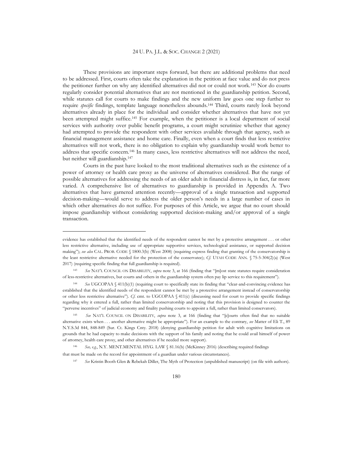These provisions are important steps forward, but there are additional problems that need to be addressed. First, courts often take the explanation in the petition at face value and do not press the petitioner further on why any identified alternatives did not or could not work.<sup>143</sup> Nor do courts regularly consider potential alternatives that are not mentioned in the guardianship petition. Second, while statutes call for courts to make findings and the new uniform law goes one step further to require *specific* findings, template language nonetheless abounds.<sup>144</sup> Third, courts rarely look beyond alternatives already in place for the individual and consider whether alternatives that have not yet been attempted might suffice.<sup>145</sup> For example, when the petitioner is a local department of social services with authority over public benefit programs, a court might scrutinize whether that agency had attempted to provide the respondent with other services available through that agency, such as financial management assistance and home care. Finally, even when a court finds that less restrictive alternatives will not work, there is no obligation to explain why guardianship would work better to address that specific concern.<sup>146</sup> In many cases, less restrictive alternatives will not address the need, but neither will guardianship.<sup>147</sup>

Courts in the past have looked to the most traditional alternatives such as the existence of a power of attorney or health care proxy as the universe of alternatives considered. But the range of possible alternatives for addressing the needs of an older adult in financial distress is, in fact, far more varied. A comprehensive list of alternatives to guardianship is provided in Appendix A. Two alternatives that have garnered attention recently—approval of a single transaction and supported decision-making—would serve to address the older person's needs in a large number of cases in which other alternatives do not suffice. For purposes of this Article, we argue that no court should impose guardianship without considering supported decision-making and/or approval of a single transaction.

<sup>146</sup> *See, e.g.*, N.Y. MENT.MENTAL HYG. LAW § 81.16(b) (McKinney 2016) (describing required findings that must be made on the record for appointment of a guardian under various circumstances).

<sup>147</sup> *See* Kristin Booth Glen & Rebekah Diller, The Myth of Protection (unpublished manuscript) (on file with authors).

evidence has established that the identified needs of the respondent cannot be met by a protective arrangement . . . or other less restrictive alternative, including use of appropriate supportive services, technological assistance, or supported decision making"); *see also* CAL. PROB. CODE § 1800.3(b) (West 2008) (requiring express finding that granting of the conservatorship is the least restrictive alternative needed for the protection of the conservatee); *Cf.* UTAH CODE ANN. § 75-5-304(2)(a) (West 2017) (requiring specific finding that full guardianship is required).

<sup>143</sup> *See* NAT'L COUNCIL ON DISABILITY, *supra* note 3, at 166 (finding that "[m]ost state statutes require consideration of less-restrictive alternatives, but courts and others in the guardianship system often pay lip service to this requirement").

<sup>144</sup> *See* UGCOPAA § 411(b)(1) (requiring court to specifically state its finding that "clear-and-convincing evidence has established that the identified needs of the respondent cannot be met by a protective arrangement instead of conservatorship or other less restrictive alternative"). *Cf.* cmt. to UGCOPAA § 411(c) (discussing need for court to provide specific findings regarding why it entered a full, rather than limited conservatorship and noting that this provision is designed to counter the "perverse incentives" of judicial economy and finality pushing courts to appoint a full, rather than limited conservators).

<sup>145</sup> *See* NAT'L COUNCIL ON DISABILITY, *supra* note 3, at 166 (finding that "[c]ourts often find that no suitable alternative exists when . . . another alternative might be appropriate"). For an example to the contrary, *see* Matter of Eli T., 89 N.Y.S.3d 844, 848-849 (Sur. Ct. Kings Cnty. 2018) (denying guardianship petition for adult with cognitive limitations on grounds that he had capacity to make decisions with the support of his family and noting that he could avail himself of power of attorney, health care proxy, and other alternatives if he needed more support).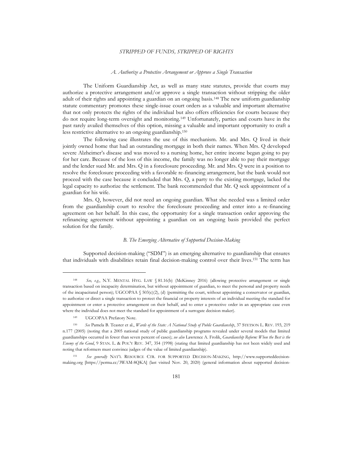#### *A. Authorize a Protective Arrangement or Approve a Single Transaction*

The Uniform Guardianship Act, as well as many state statutes, provide that courts may authorize a protective arrangement and/or approve a single transaction without stripping the older adult of their rights and appointing a guardian on an ongoing basis.<sup>148</sup> The new uniform guardianship statute commentary promotes these single-issue court orders as a valuable and important alternative that not only protects the rights of the individual but also offers efficiencies for courts because they do not require long-term oversight and monitoring.<sup>149</sup> Unfortunately, parties and courts have in the past rarely availed themselves of this option, missing a valuable and important opportunity to craft a less restrictive alternative to an ongoing guardianship.<sup>150</sup>

The following case illustrates the use of this mechanism. Mr. and Mrs. Q lived in their jointly owned home that had an outstanding mortgage in both their names. When Mrs. Q developed severe Alzheimer's disease and was moved to a nursing home, her entire income began going to pay for her care. Because of the loss of this income, the family was no longer able to pay their mortgage and the lender sued Mr. and Mrs. Q in a foreclosure proceeding. Mr. and Mrs. Q were in a position to resolve the foreclosure proceeding with a favorable re-financing arrangement, but the bank would not proceed with the case because it concluded that Mrs. Q, a party to the existing mortgage, lacked the legal capacity to authorize the settlement. The bank recommended that Mr. Q seek appointment of a guardian for his wife.

Mrs. Q, however, did not need an ongoing guardian. What she needed was a limited order from the guardianship court to resolve the foreclosure proceeding and enter into a re-financing agreement on her behalf. In this case, the opportunity for a single transaction order approving the refinancing agreement without appointing a guardian on an ongoing basis provided the perfect solution for the family.

#### *B. The Emerging Alternative of Supported Decision-Making*

Supported decision-making ("SDM") is an emerging alternative to guardianship that ensures that individuals with disabilities retain final decision-making control over their lives. <sup>151</sup> The term has

<sup>148</sup> *See, e.g.*, N.Y. MENTAL HYG. LAW § 81.16(b) (McKinney 2016) (allowing protective arrangement or single transaction based on incapacity determination, but without appointment of guardian, to meet the personal and property needs of the incapacitated person); UGCOPAA  $\S$  503(c)(2), (d) (permitting the court, without appointing a conservator or guardian, to authorize or direct a single transaction to protect the financial or property interests of an individual meeting the standard for appointment or enter a protective arrangement on their behalf, and to enter a protective order in an appropriate case even where the individual does not meet the standard for appointment of a surrogate decision maker).

<sup>149</sup> UGCOPAA Prefatory Note.

<sup>150</sup> *See* Pamela B. Teaster et al., *Wards of the State: A National Study of Public Guardianship*, 37 STETSON L. REV. 193, 219 n.177 (2005) (noting that a 2005 national study of public guardianship programs revealed under several models that limited guardianships occurred in fewer than seven percent of cases); *see also* Lawrence A. Frolik, *Guardianship Reform: When the Best is the Enemy of the Good*, 9 STAN. L. & POL'Y REV. 347, 354 (1998) (stating that limited guardianship has not been widely used and noting that reformers must convince judges of the value of limited guardianship).

<sup>151</sup> *See generally* NAT'L RESOURCE CTR. FOR SUPPORTED DECISION-MAKING, http://www.supporteddecisionmaking.org [https://perma.cc/3WAM-8QKA] (last visited Nov. 20, 2020) (general information about supported decision-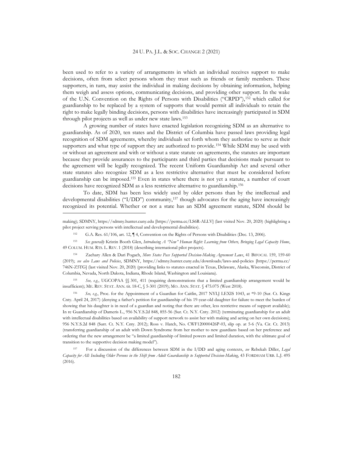been used to refer to a variety of arrangements in which an individual receives support to make decisions, often from select persons whom they trust such as friends or family members. These supporters, in turn, may assist the individual in making decisions by obtaining information, helping them weigh and assess options, communicating decisions, and providing other support. In the wake of the U.N. Convention on the Rights of Persons with Disabilities ("CRPD"),<sup>152</sup> which called for guardianship to be replaced by a system of supports that would permit all individuals to retain the right to make legally binding decisions, persons with disabilities have increasingly participated in SDM through pilot projects as well as under new state laws.<sup>153</sup>

A growing number of states have enacted legislation recognizing SDM as an alternative to guardianship. As of 2020, ten states and the District of Columbia have passed laws providing legal recognition of SDM agreements, whereby individuals set forth whom they authorize to serve as their supporters and what type of support they are authorized to provide.<sup>154</sup> While SDM may be used with or without an agreement and with or without a state statute on agreements, the statutes are important because they provide assurances to the participants and third parties that decisions made pursuant to the agreement will be legally recognized. The recent Uniform Guardianship Act and several other state statutes also recognize SDM as a less restrictive alternative that must be considered before guardianship can be imposed.<sup>155</sup> Even in states where there is not yet a statute, a number of court decisions have recognized SDM as a less restrictive alternative to guardianship.<sup>156</sup>

To date, SDM has been less widely used by older persons than by the intellectual and developmental disabilities ("I/DD") community,<sup>157</sup> though advocates for the aging have increasingly recognized its potential. Whether or not a state has an SDM agreement statute, SDM should be

<sup>155</sup> *See, e.g.*, UGCOPAA §§ 301, 411 (requiring demonstrations that a limited guardianship arrangement would be insufficient); ME. REV. STAT. ANN. tit. 18-C, § 5-301 (2019); MO. ANN. STAT. § 475.075 (West 2018).

<sup>156</sup> *See, e.g.*, Proc. for the Appointment of a Guardian for Caitlin, 2017 NYLJ LEXIS 1043, at \*9-10 (Sur. Ct. Kings Cnty. April 24, 2017) (denying a father's petition for guardianship of his 19-year-old daughter for failure to meet the burden of showing that his daughter is in need of a guardian and noting that there are other, less restrictive means of support available); In re Guardianship of Dameris L., 956 N.Y.S.2d 848, 855-56 (Sur. Ct. N.Y. Cnty. 2012) (terminating guardianship for an adult with intellectual disabilities based on availability of support network to assist her with making and acting on her own decisions); 956 N.Y.S.2d 848 (Surr. Ct. N.Y. Cnty. 2012); Ross v. Hatch, No. CWF120000426P-03, slip op. at 5-6 (Va. Cir. Ct. 2013) (transferring guardianship of an adult with Down Syndrome from her mother to new guardians based on her preference and ordering that the new arrangement be "a limited guardianship of limited powers and limited duration, with the ultimate goal of transition to the supportive decision making model").

<sup>157</sup> For a discussion of the differences between SDM in the I/DD and aging contexts, *see* Rebekah Diller, *Legal Capacity for All: Including Older Persons in the Shift from Adult Guardianship to Supported Decision-Making*, 43 FORDHAM URB. L.J. 495 (2016).

making); SDMNY, https://sdmny.hunter.cuny.edu [https://perma.cc/LS6R-ALLV] (last visited Nov. 20, 2020) (highlighting a pilot project serving persons with intellectual and developmental disabilities).

<sup>152</sup> G.A. Res. 61/106, art. 12, ¶ 4, Convention on the Rights of Persons with Disabilities (Dec. 13, 2006).

<sup>153</sup> *See generally* Kristin Booth Glen, *Introducing A "New" Human Right: Learning from Others, Bringing Legal Capacity Home*, 49 COLUM. HUM. RTS. L. REV. 1 (2018) (describing international pilot projects).

<sup>154</sup> Zachary Allen & Dari Pogach, *More States Pass Supported Decision-Making Agreement Laws*, 41 BIFOCAL 159, 159-60 (2019); *see also Laws and Policies*, SDMNY, https://sdmny.hunter.cuny.edu/downloads/laws-and-policies [https://perma.cc/ 746N-Z5TG] (last visited Nov. 20, 2020) (providing links to statutes enacted in Texas, Delaware, Alaska, Wisconsin, District of Columbia, Nevada, North Dakota, Indiana, Rhode Island, Washington and Louisiana).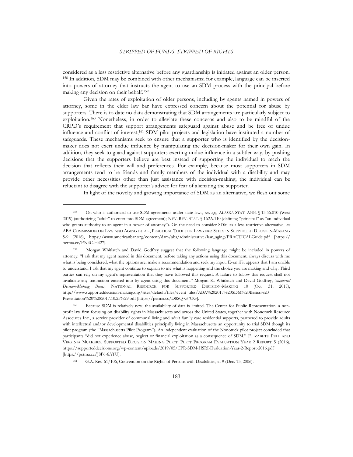considered as a less restrictive alternative before any guardianship is initiated against an older person. <sup>158</sup> In addition, SDM may be combined with other mechanisms; for example, language can be inserted into powers of attorney that instructs the agent to use an SDM process with the principal before making any decision on their behalf.<sup>159</sup>

Given the rates of exploitation of older persons, including by agents named in powers of attorney, some in the elder law bar have expressed concern about the potential for abuse by supporters. There is to date no data demonstrating that SDM arrangements are particularly subject to exploitation.<sup>160</sup> Nonetheless, in order to alleviate these concerns and also to be mindful of the CRPD's requirement that support arrangements safeguard against abuse and be free of undue influence and conflict of interest,<sup>161</sup> SDM pilot projects and legislation have instituted a number of safeguards. These mechanisms seek to ensure that a supporter who is identified by the decisionmaker does not exert undue influence by manipulating the decision-maker for their own gain. In addition, they seek to guard against supporters exerting undue influence in a subtler way, by pushing decisions that the supporters believe are best instead of supporting the individual to reach the decision that reflects their will and preferences. For example, because most supporters in SDM arrangements tend to be friends and family members of the individual with a disability and may provide other necessities other than just assistance with decision-making, the individual can be reluctant to disagree with the supporter's advice for fear of alienating the supporter.

In light of the novelty and growing importance of SDM as an alternative, we flesh out some

<sup>158</sup> On who is authorized to use SDM agreements under state laws, *see, e.g.*, ALASKA STAT. ANN. § 13.56.010 (West 2019) (authorizing "adult" to enter into SDM agreement); NEV. REV. STAT. § 162A.110 (defining "principal" as "an individual who grants authority to an agent in a power of attorney"). On the need to consider SDM as a less restrictive alternative, *see* ABA COMMISSION ON LAW AND AGING ET AL., PRACTICAL TOOL FOR LAWYERS: STEPS IN SUPPORTED DECISION-MAKING 5-9 (2016), https://www.americanbar.org/content/dam/aba/administrative/law\_aging/PRACTICALGuide.pdf [https:// perma.cc/EN4C-H427].

<sup>159</sup> Morgan Whitlatch and David Godfrey suggest that the following language might be included in powers of attorney: "I ask that my agent named in this document, before taking any actions using this document, always discuss with me what is being considered, what the options are, make a recommendation and seek my input. Even if it appears that I am unable to understand, I ask that my agent continue to explain to me what is happening and the choice you are making and why. Third parties can rely on my agent's representation that they have followed this request. A failure to follow this request shall not invalidate any transaction entered into by agent using this document." Morgan K. Whitlatch and David Godfrey, *Supported Decision-Making Basics*, NATIONAL RESOURCE FOR SUPPORTED DECISION-MAKING 10 (Oct. 31, 2017), http://www.supporteddecision-making.org/sites/default/files/event\_files/ABA%202017%20SDM%20Basics%20 Presentation%20%282017.10.25%29.pdf [https://perma.cc/D8SQ-G7UG].

<sup>160</sup> Because SDM is relatively new, the availability of data is limited. The Center for Public Representation, a nonprofit law firm focusing on disability rights in Massachusetts and across the United States, together with Nonotuck Resource Associates Inc., a service provider of communal living and adult family care residential supports, partnered to provide adults with intellectual and/or developmental disabilities principally living in Massachusetts an opportunity to trial SDM though its pilot program (the "Massachusetts Pilot Program"). An independent evaluation of the Nonotuck pilot project concluded that participants "did not experience abuse, neglect or financial exploitation as a consequence of SDM." ELIZABETH PELL AND VIRGINIA MULKERN, SUPPORTED DECISION MAKING PILOT: PILOT PROGRAM EVALUATION YEAR 2 REPORT 5 (2016), https://supporteddecisions.org/wp-content/uploads/2019/05/CPR-SDM-HSRI-Evaluation-Year-2-Report-2016.pdf [https://perma.cc/J8P6-6ATU].

<sup>161</sup> G.A. Res. 61/106, Convention on the Rights of Persons with Disabilities, at 9 (Dec. 13, 2006).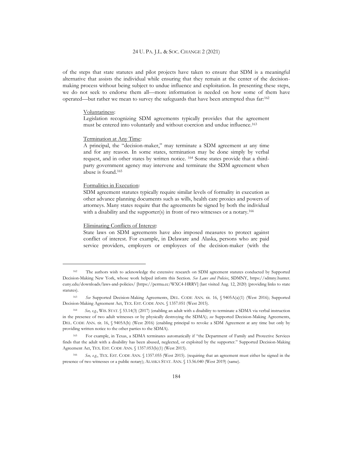of the steps that state statutes and pilot projects have taken to ensure that SDM is a meaningful alternative that assists the individual while ensuring that they remain at the center of the decisionmaking process without being subject to undue influence and exploitation. In presenting these steps, we do not seek to endorse them all—more information is needed on how some of them have operated—but rather we mean to survey the safeguards that have been attempted thus far:<sup>162</sup>

#### Voluntariness:

Legislation recognizing SDM agreements typically provides that the agreement must be entered into voluntarily and without coercion and undue influence.<sup>163</sup>

#### Termination at Any Time:

A principal, the "decision-maker," may terminate a SDM agreement at any time and for any reason. In some states, termination may be done simply by verbal request, and in other states by written notice. <sup>164</sup> Some states provide that a thirdparty government agency may intervene and terminate the SDM agreement when abuse is found.<sup>165</sup>

#### Formalities in Execution:

SDM agreement statutes typically require similar levels of formality in execution as other advance planning documents such as wills, health care proxies and powers of attorneys. Many states require that the agreements be signed by both the individual with a disability and the supporter(s) in front of two witnesses or a notary.<sup>166</sup>

#### Eliminating Conflicts of Interest:

State laws on SDM agreements have also imposed measures to protect against conflict of interest. For example, in Delaware and Alaska, persons who are paid service providers, employers or employees of the decision-maker (with the

<sup>162</sup> The authors wish to acknowledge the extensive research on SDM agreement statutes conducted by Supported Decision-Making New York, whose work helped inform this Section. *See Laws and Policies*, SDMNY, https://sdmny.hunter. cuny.edu/downloads/laws-and-policies/ [https://perma.cc/WXC4-HRRV] (last visited Aug. 12, 2020) (providing links to state statutes).

<sup>163</sup> *See* Supported Decision-Making Agreements, DEL. CODE ANN. tit. 16, § 9405A(a)(1) (West 2016); Supported Decision-Making Agreement Act, TEX. EST. CODE ANN. § 1357.051 (West 2015).

<sup>164</sup> *See, e.g.*, WIS. STAT. § 53.14(3) (2017) (enabling an adult with a disability to terminate a SDMA via verbal instruction in the presence of two adult witnesses or by physically destroying the SDMA); *see* Supported Decision-Making Agreements, DEL. CODE ANN. tit. 16, § 9405A(h) (West 2016) (enabling principal to revoke a SDM Agreement at any time but only by providing written notice to the other parties to the SDMA).

<sup>165</sup> For example, in Texas, a SDMA terminates automatically if "the Department of Family and Protective Services finds that the adult with a disability has been abused, neglected, or exploited by the supporter." Supported Decision-Making Agreement Act, TEX. EST. CODE ANN. § 1357.053(b)(1) (West 2015).

<sup>166</sup> *See, e.g.*, TEX. EST. CODE ANN. § 1357.055 (West 2015). (requiring that an agreement must either be signed in the presence of two witnesses or a public notary); ALASKA STAT. ANN. § 13.56.040 (West 2019) (same).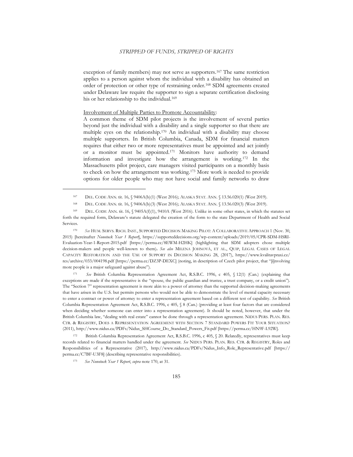exception of family members) may not serve as supporters.<sup>167</sup> The same restriction applies to a person against whom the individual with a disability has obtained an order of protection or other type of restraining order.<sup>168</sup> SDM agreements created under Delaware law require the supporter to sign a separate certification disclosing his or her relationship to the individual.<sup>169</sup>

#### Involvement of Multiple Parties to Promote Accountability:

A common theme of SDM pilot projects is the involvement of several parties beyond just the individual with a disability and a single supporter so that there are multiple eyes on the relationship.<sup>170</sup> An individual with a disability may choose multiple supporters. In British Columbia, Canada, SDM for financial matters requires that either two or more representatives must be appointed and act jointly or a monitor must be appointed.<sup>171</sup> Monitors have authority to demand information and investigate how the arrangement is working.<sup>172</sup> In the Massachusetts pilot project, care managers visited participants on a monthly basis to check on how the arrangement was working.<sup>173</sup> More work is needed to provide options for older people who may not have social and family networks to draw

<sup>170</sup> *See* HUM. SERVS. RSCH. INST., SUPPORTED DECISION MAKING PILOT: A COLLABORATIVE APPROACH 1 (Nov. 30, 2015) [hereinafter *Nonotuck Year 1 Report*], https://supporteddecisions.org/wp-content/uploads/2019/05/CPR-SDM-HSRI-Evaluation-Year-1-Report-2015.pdf [https://perma.cc/8EWM-H2HK] (highlighting that SDM adopters chose multiple decision-makers and people well-known to them)**.** *See also* MILENA JOHNOVÁ, ET AL., QUIP, LEGAL CASES OF LEGAL CAPACITY RESTORATION AND THE USE OF SUPPORT IN DECISION MAKING 28, (2017), https://www.kvalitavpraxi.cz/ res/archive/033/004198.pdf [https://perma.cc/DZ3P-DEXC] (noting, in description of Czech pilot project, that "[i]nvolving more people is a major safeguard against abuse").

<sup>171</sup> *See* British Columbia Representation Agreement Act, R.S.B.C. 1996, c 405, § 12(1) (Can.) (explaining that exceptions are made if the representative is the "spouse, the public guardian and trustee, a trust company, or a credit union")*.*  The "Section 7" representation agreement is more akin to a power of attorney than the supported decision-making agreements that have arisen in the U.S. but permits persons who would not be able to demonstrate the level of mental capacity necessary to enter a contract or power of attorney to enter a representation agreement based on a different test of capability. *See* British Columbia Representation Agreement Act, R.S.B.C. 1996, c 405, § 8 (Can.) (providing at least four factors that are considered when deciding whether someone can enter into a representation agreement). It should be noted, however, that under the British Columbia law, "dealing with real estate" cannot be done through a representation agreement. NIDUS PERS. PLAN. RES. CTR. & REGISTRY, DOES A REPRESENTATION AGREEMENT WITH SECTION 7 STANDARD POWERS FIT YOUR SITUATION? (2011), http://www.nidus.ca/PDFs/Nidus\_SHCourse\_Do\_Standard\_Powers\_Fit.pdf [https://perma.cc/HN9F-L92W].

<sup>172</sup> British Columbia Representation Agreement Act, R.S.B.C. 1996, c 405, § 20. Relatedly, representatives must keep records related to financial matters handled under the agreement. *See* NIDUS PERS. PLAN. RES. CTR. & REGISTRY, Roles and Responsibilities of a Representative (2017), http://www.nidus.ca/PDFs/Nidus\_Info\_Role\_Representative.pdf [https:// perma.cc/C7BF-U3F8] (describing representative responsibilities).

<sup>167</sup> DEL. CODE ANN. tit. 16, § 9406A(b)(1) (West 2016); ALASKA STAT. ANN. § 13.56.020(1) (West 2019).

<sup>168</sup> DEL. CODE ANN. tit. 16, § 9406A(b)(3) (West 2016); ALASKA STAT. ANN. § 13.56.020(3) (West 2019).

<sup>169</sup> DEL. CODE ANN. tit. 16, § 9405A(f)(1), 9410A (West 2016). Unlike in some other states, in which the statutes set forth the required form, Delaware's statute delegated the creation of the form to the state Department of Health and Social Services.

<sup>173</sup> *See Nonotuck Year 1 Report*, *supra* note 170, at 31.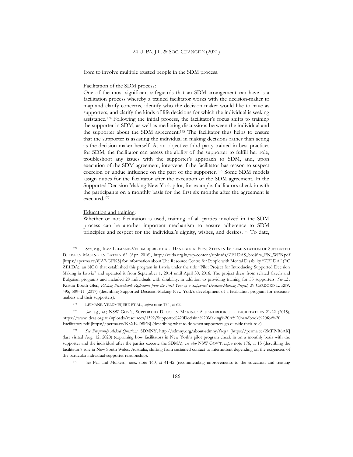from to involve multiple trusted people in the SDM process.

#### Facilitation of the SDM process:

One of the most significant safeguards that an SDM arrangement can have is a facilitation process whereby a trained facilitator works with the decision-maker to map and clarify concerns, identify who the decision-maker would like to have as supporters, and clarify the kinds of life decisions for which the individual is seeking assistance.<sup>174</sup> Following the initial process, the facilitator's focus shifts to training the supporter in SDM, as well as mediating discussions between the individual and the supporter about the SDM agreement.<sup>175</sup> The facilitator thus helps to ensure that the supporter is assisting the individual in making decisions rather than acting as the decision-maker herself. As an objective third-party trained in best practices for SDM, the facilitator can assess the ability of the supporter to fulfill her role, troubleshoot any issues with the supporter's approach to SDM, and, upon execution of the SDM agreement, intervene if the facilitator has reason to suspect coercion or undue influence on the part of the supporter.<sup>176</sup> Some SDM models assign duties for the facilitator after the execution of the SDM agreement. In the Supported Decision Making New York pilot, for example, facilitators check in with the participants on a monthly basis for the first six months after the agreement is executed.<sup>177</sup>

#### Education and training:

Whether or not facilitation is used, training of all parties involved in the SDM process can be another important mechanism to ensure adherence to SDM principles and respect for the individual's dignity, wishes, and desires.<sup>178</sup> To date,

<sup>174</sup> See, e.g., IEVA LEIMANE-VELDMEIJERE ET AL., HANDBOOK: FIRST STEPS IN IMPLEMENTATION OF SUPPORTED DECISION MAKING IN LATVIA 62 (Apr. 2016), http://zelda.org.lv/wp-content/uploads/ZELDAS\_brošūra\_EN\_WEB.pdf [https://perma.cc/8JA7-GEK5] for information about The Resource Centre for People with Mental Disability "ZELDA" (RC ZELDA), an NGO that established this program in Latvia under the title "Pilot Project for Introducing Supported Decision Making in Latvia" and operated it from September 1, 2014 until April 30, 2016. The project drew from related Czech and Bulgarian programs and included 28 individuals with disability, in addition to providing training for 55 supporters. *See also*  Kristin Booth Glen, *Piloting Personhood: Reflections from the First Year of a Supported Decision-Making Project*, 39 CARDOZO L. REV. 495, 509–11 (2017) (describing Supported Decision-Making New York's development of a facilitation program for decisionmakers and their supporters).

<sup>175</sup> LEIMANE-VELDMEIJERE ET AL., *supra* note 174, at 62.

<sup>176</sup> *See, e.g.*, *id*.; NSW GOV'T, SUPPORTED DECISION MAKING: A HANDBOOK FOR FACILITATORS 21-22 (2015), https://www.ideas.org.au/uploads/resources/1392/Supported%20Decision%20Making%20A%20handbook%20for%20 Facilitators.pdf [https://perma.cc/K8XE-D8EB] (describing what to do when supporters go outside their role).

<sup>177</sup> *See Frequently Asked Questions,* SDMNY, <http://sdmny.org/about-sdmny/faqs/> [https://perma.cc/2MPP-R6AK] (last visited Aug. 12, 2020) (explaining how facilitators in New York's pilot program check in on a monthly basis with the supporter and the individual after the parties execute the SDMA); *see also* NSW GOV'T, *supra* note 176, at 15 (describing the facilitator's role in New South Wales, Australia, shifting from sustained contact to intermittent depending on the exigencies of the particular individual-supporter relationship).

<sup>178</sup> *See* Pell and Mulkern, *supra* note 160, at 41-42 (recommending improvements to the education and training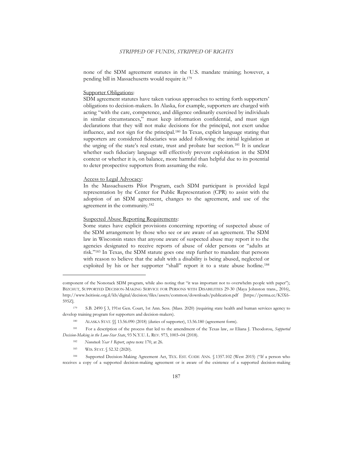none of the SDM agreement statutes in the U.S. mandate training; however, a pending bill in Massachusetts would require it.<sup>179</sup>

#### Supporter Obligations:

SDM agreement statutes have taken various approaches to setting forth supporters' obligations to decision-makers. In Alaska, for example, supporters are charged with acting "with the care, competence, and diligence ordinarily exercised by individuals in similar circumstances," must keep information confidential, and must sign declarations that they will not make decisions for the principal, not exert undue influence, and not sign for the principal.<sup>180</sup> In Texas, explicit language stating that supporters are considered fiduciaries was added following the initial legislation at the urging of the state's real estate, trust and probate bar section.<sup>181</sup> It is unclear whether such fiduciary language will effectively prevent exploitation in the SDM context or whether it is, on balance, more harmful than helpful due to its potential to deter prospective supporters from assuming the role.

#### Access to Legal Advocacy:

In the Massachusetts Pilot Program, each SDM participant is provided legal representation by the Center for Public Representation (CPR) to assist with the adoption of an SDM agreement, changes to the agreement, and use of the agreement in the community.<sup>182</sup>

#### Suspected Abuse Reporting Requirements:

Some states have explicit provisions concerning reporting of suspected abuse of the SDM arrangement by those who see or are aware of an agreement. The SDM law in Wisconsin states that anyone aware of suspected abuse may report it to the agencies designated to receive reports of abuse of older persons or "adults at risk."<sup>183</sup> In Texas, the SDM statute goes one step further to mandate that persons with reason to believe that the adult with a disability is being abused, neglected or exploited by his or her supporter "shall" report it to a state abuse hotline.<sup>184</sup>

183 WIS. STAT. § 52.32 (2020).

component of the Nonotuck SDM program, while also noting that "it was important not to overwhelm people with paper"); BIZCHUT, SUPPORTED DECISION-MAKING SERVICE FOR PERSONS WITH DISABILITIES 29-30 (Maya Johnston trans., 2016), http://www.beitissie.org.il/kb/digital/decision/files/assets/common/downloads/publication.pdf [https://perma.cc/K5X6- 595Z].

<sup>179</sup> S.B. 2490 § 3, 191st Gen. Court, 1st Ann. Sess. (Mass. 2020) (requiring state health and human services agency to develop training program for supporters and decision-makers).

<sup>180</sup> ALASKA STAT.  $\sqrt{2}$  13.56.090 (2018) (duties of supporter), 13.56.180 (agreement form).

<sup>181</sup> For a description of the process that led to the amendment of the Texas law, *see* Eliana J. Theodorou, *Supported Decision-Making in the Lone-Star State*, 93 N.Y.U. L. REV. 973, 1003–04 (2018).

<sup>182</sup> *Nonotuck Year 1 Report*, *supra* note 170, at 26.

<sup>184</sup> Supported Decision-Making Agreement Act, TEX. EST. CODE ANN. § 1357.102 (West 2015) ("If a person who receives a copy of a supported decision-making agreement or is aware of the existence of a supported decision-making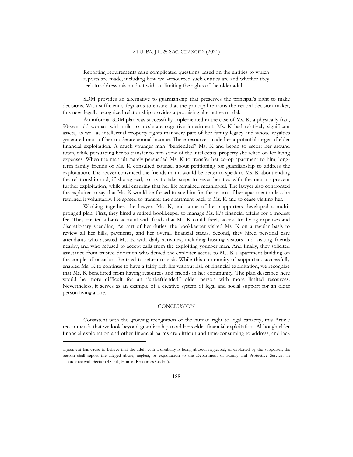Reporting requirements raise complicated questions based on the entities to which reports are made, including how well-resourced such entities are and whether they seek to address misconduct without limiting the rights of the older adult.

SDM provides an alternative to guardianship that preserves the principal's right to make decisions. With sufficient safeguards to ensure that the principal remains the central decision-maker, this new, legally recognized relationship provides a promising alternative model.

An informal SDM plan was successfully implemented in the case of Ms. K, a physically frail, 90-year old woman with mild to moderate cognitive impairment. Ms. K had relatively significant assets, as well as intellectual property rights that were part of her family legacy and whose royalties generated most of her moderate annual income. These resources made her a potential target of elder financial exploitation. A much younger man "befriended" Ms. K and began to escort her around town, while persuading her to transfer to him some of the intellectual property she relied on for living expenses. When the man ultimately persuaded Ms. K to transfer her co-op apartment to him, longterm family friends of Ms. K consulted counsel about petitioning for guardianship to address the exploitation. The lawyer convinced the friends that it would be better to speak to Ms. K about ending the relationship and, if she agreed, to try to take steps to sever her ties with the man to prevent further exploitation, while still ensuring that her life remained meaningful. The lawyer also confronted the exploiter to say that Ms. K would be forced to sue him for the return of her apartment unless he returned it voluntarily. He agreed to transfer the apartment back to Ms. K and to cease visiting her.

Working together, the lawyer, Ms. K, and some of her supporters developed a multipronged plan. First, they hired a retired bookkeeper to manage Ms. K's financial affairs for a modest fee. They created a bank account with funds that Ms. K could freely access for living expenses and discretionary spending. As part of her duties, the bookkeeper visited Ms. K on a regular basis to review all her bills, payments, and her overall financial status. Second, they hired personal care attendants who assisted Ms. K with daily activities, including hosting visitors and visiting friends nearby, and who refused to accept calls from the exploiting younger man. And finally, they solicited assistance from trusted doormen who denied the exploiter access to Ms. K's apartment building on the couple of occasions he tried to return to visit. While this community of supporters successfully enabled Ms. K to continue to have a fairly rich life without risk of financial exploitation, we recognize that Ms. K benefitted from having resources and friends in her community. The plan described here would be more difficult for an "unbefriended" older person with more limited resources. Nevertheless, it serves as an example of a creative system of legal and social support for an older person living alone.

#### **CONCLUSION**

Consistent with the growing recognition of the human right to legal capacity, this Article recommends that we look beyond guardianship to address elder financial exploitation. Although elder financial exploitation and other financial harms are difficult and time-consuming to address, and lack

agreement has cause to believe that the adult with a disability is being abused, neglected, or exploited by the supporter, the person shall report the alleged abuse, neglect, or exploitation to the Department of Family and Protective Services in accordance with Section [48.051](http://www.statutes.legis.state.tx.us/GetStatute.aspx?Code=HR&Value=48.051), Human Resources Code.").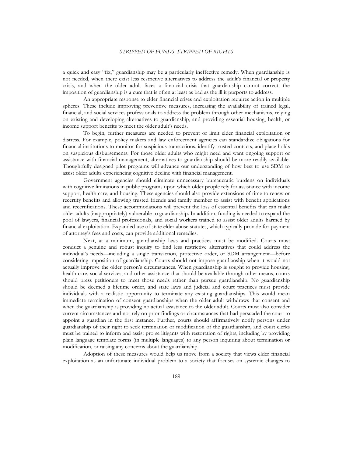a quick and easy "fix," guardianship may be a particularly ineffective remedy. When guardianship is not needed, when there exist less restrictive alternatives to address the adult's financial or property crisis, and when the older adult faces a financial crisis that guardianship cannot correct, the imposition of guardianship is a cure that is often at least as bad as the ill it purports to address.

An appropriate response to elder financial crises and exploitation requires action in multiple spheres. These include improving preventive measures, increasing the availability of trained legal, financial, and social services professionals to address the problem through other mechanisms, relying on existing and developing alternatives to guardianship, and providing essential housing, health, or income support benefits to meet the older adult's needs.

To begin, further measures are needed to prevent or limit elder financial exploitation or distress. For example, policy makers and law enforcement agencies can standardize obligations for financial institutions to monitor for suspicious transactions, identify trusted contacts, and place holds on suspicious disbursements. For those older adults who might need and want ongoing support or assistance with financial management, alternatives to guardianship should be more readily available. Thoughtfully designed pilot programs will advance our understanding of how best to use SDM to assist older adults experiencing cognitive decline with financial management.

Government agencies should eliminate unnecessary bureaucratic burdens on individuals with cognitive limitations in public programs upon which older people rely for assistance with income support, health care, and housing. These agencies should also provide extensions of time to renew or recertify benefits and allowing trusted friends and family member to assist with benefit applications and recertifications. These accommodations will prevent the loss of essential benefits that can make older adults (inappropriately) vulnerable to guardianship. In addition, funding is needed to expand the pool of lawyers, financial professionals, and social workers trained to assist older adults harmed by financial exploitation. Expanded use of state elder abuse statutes, which typically provide for payment of attorney's fees and costs, can provide additional remedies.

Next, at a minimum, guardianship laws and practices must be modified. Courts must conduct a genuine and robust inquiry to find less restrictive alternatives that could address the individual's needs—including a single transaction, protective order, or SDM arrangement—before considering imposition of guardianship. Courts should not impose guardianship when it would not actually improve the older person's circumstances. When guardianship is sought to provide housing, health care, social services, and other assistance that should be available through other means, courts should press petitioners to meet those needs rather than pursue guardianship. No guardianship should be deemed a lifetime order, and state laws and judicial and court practices must provide individuals with a realistic opportunity to terminate any existing guardianships. This would mean immediate termination of consent guardianships when the older adult withdraws that consent and when the guardianship is providing no actual assistance to the older adult. Courts must also consider current circumstances and not rely on prior findings or circumstances that had persuaded the court to appoint a guardian in the first instance. Further, courts should affirmatively notify persons under guardianship of their right to seek termination or modification of the guardianship, and court clerks must be trained to inform and assist pro se litigants with restoration of rights, including by providing plain language template forms (in multiple languages) to any person inquiring about termination or modification, or raising any concerns about the guardianship.

Adoption of these measures would help us move from a society that views elder financial exploitation as an unfortunate individual problem to a society that focuses on systemic changes to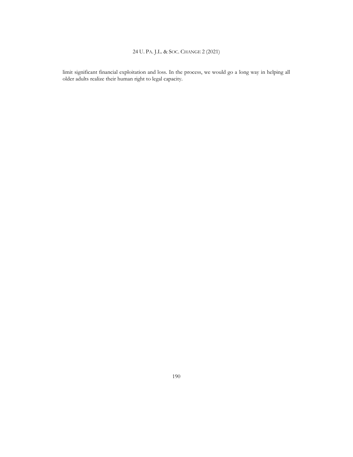limit significant financial exploitation and loss. In the process, we would go a long way in helping all older adults realize their human right to legal capacity.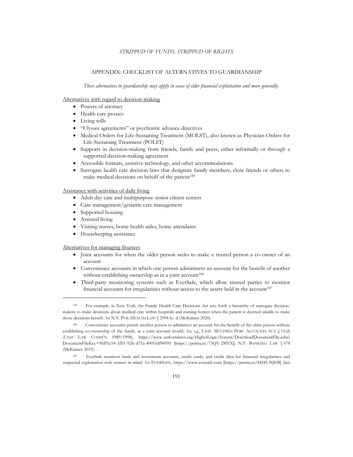#### APPENDIX: CHECKLIST OF ALTERNATIVES TO GUARDIANSHIP

*These alternatives to guardianship may apply in cases of elder financial exploitation and more generally.*

#### Alternatives with regard to decision-making

- Powers of attorney
- Health care proxies
- Living wills
- "Ulysses agreements" or psychiatric advance directives
- Medical Orders for Life-Sustaining Treatment (MOLST), also known as Physician Orders for Life-Sustaining Treatment (POLST)
- Supports in decision-making from friends, family and peers, either informally or through a supported decision-making agreement
- Accessible formats, assistive technology, and other accommodations
- Surrogate health care decision laws that designate family members, close friends or others to make medical decisions on behalf of the patient<sup>185</sup>

#### Assistance with activities of daily living

- Adult day care and multipurpose senior citizen centers
- Case management/geriatric care management
- Supported housing
- Assisted living
- Visiting nurses, home health aides, home attendants
- Housekeeping assistance

#### Alternatives for managing finances

- Joint accounts for when the older person seeks to make a trusted person a co-owner of an account
- Convenience accounts in which one person administers an account for the benefit of another without establishing ownership as in a joint account<sup>186</sup>
- Third-party monitoring systems such as EverSafe, which allow trusted parties to monitor financial accounts for irregularities without access to the assets held in the account<sup>187</sup>

<sup>185</sup> For example, in New York, the Family Health Care Decisions Act sets forth a hierarchy of surrogate decisionmakers to make decisions about medical care within hospitals and nursing homes when the patient is deemed unable to make those decisions herself. *See* N.Y. PUB. HEALTH LAW § 2994-b, -d (McKinney 2020).

<sup>186</sup> Convenience accounts permit another person to administer an account for the benefit of the older person without establishing co-ownership of the funds, as a joint account would. *See, e.g*., UNIF. MULTIPLE-PERS. ACCOUNTS ACT § 11(d) (UNIF LAW COMM'N 1989/1998), https://www.uniformlaws.org/HigherLogic/System/DownloadDocumentFile.ashx? DocumentFileKey=9fd91e54-3201-92fc-d71a-40055df84591 [https://perma.cc/73QV-2MVX]; N.Y. BANKING LAW § 678 (McKinney 2019).

<sup>187</sup> EverSafe monitors bank and investment accounts, credit cards, and credit data for financial irregularities and suspected exploitation with seniors in mind. *See* EVERSAFE, https://www.eversafe.com [https://perma.cc/H245-NJEB] (last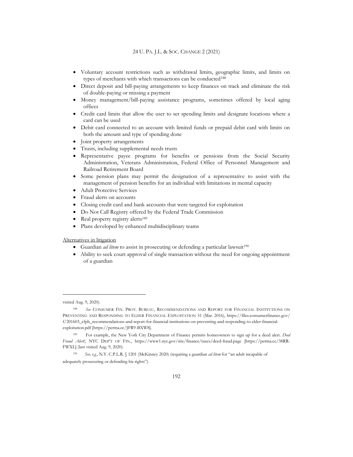- Voluntary account restrictions such as withdrawal limits, geographic limits, and limits on types of merchants with which transactions can be conducted<sup>188</sup>
- Direct deposit and bill-paying arrangements to keep finances on track and eliminate the risk of double-paying or missing a payment
- Money management/bill-paying assistance programs, sometimes offered by local aging offices
- Credit card limits that allow the user to set spending limits and designate locations where a card can be used
- Debit card connected to an account with limited funds or prepaid debit card with limits on both the amount and type of spending done
- Joint property arrangements
- Trusts, including supplemental needs trusts
- Representative payee programs for benefits or pensions from the Social Security Administration, Veterans Administration, Federal Office of Personnel Management and Railroad Retirement Board
- Some pension plans may permit the designation of a representative to assist with the management of pension benefits for an individual with limitations in mental capacity
- Adult Protective Services
- Fraud alerts on accounts
- Closing credit card and bank accounts that were targeted for exploitation
- Do Not Call Registry offered by the Federal Trade Commission
- Real property registry alerts<sup>189</sup>
- Plans developed by enhanced multidisciplinary teams

Alternatives in litigation

- Guardian *ad litem* to assist in prosecuting or defending a particular lawsuit<sup>190</sup>
- Ability to seek court approval of single transaction without the need for ongoing appointment of a guardian

visited Aug. 9, 2020).

<sup>188</sup> *See* CONSUMER FIN. PROT. BUREAU, RECOMMENDATIONS AND REPORT FOR FINANCIAL INSTITUTIONS ON PREVENTING AND RESPONDING TO ELDER FINANCIAL EXPLOITATION 51 (Mar. 2016), https://files.consumerfinance.gov/ f/201603\_cfpb\_recommendations-and-report-for-financial-institutions-on-preventing-and-responding-to-elder-financialexploitation.pdf [https://perma.cc/JFR9-BXW8].

<sup>189</sup> For example, the New York City Department of Finance permits homeowners to sign up for a deed alert. *Deed Fraud Alert!*, NYC DEP'T OF FIN., https://www1.nyc.gov/site/finance/taxes/deed-fraud.page [https://perma.cc/38RR-FWXL] (last visited Aug. 9, 2020).

<sup>190</sup> *See, e.g.*, N.Y. C.P.L.R. § 1201 (McKinney 2020) (requiring a guardian *ad litem* for "an adult incapable of adequately prosecuting or defending his rights").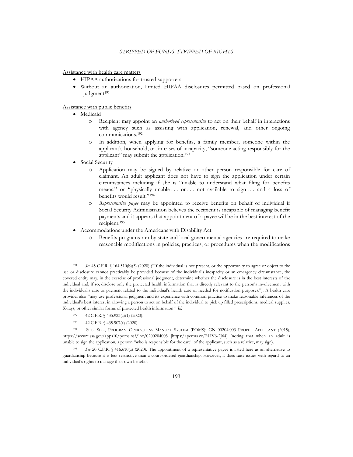Assistance with health care matters

- HIPAA authorizations for trusted supporters
- Without an authorization, limited HIPAA disclosures permitted based on professional judgment<sup>191</sup>

Assistance with public benefits

- Medicaid
	- o Recipient may appoint an *authorized representative* to act on their behalf in interactions with agency such as assisting with application, renewal, and other ongoing communications.<sup>192</sup>
	- o In addition, when applying for benefits, a family member, someone within the applicant's household, or, in cases of incapacity, "someone acting responsibly for the applicant" may submit the application.<sup>193</sup>
- Social Security
	- o Application may be signed by relative or other person responsible for care of claimant. An adult applicant does not have to sign the application under certain circumstances including if she is "unable to understand what filing for benefits means," or "physically unable ... or ... not available to sign ... and a loss of benefits would result."<sup>194</sup>
	- o *Representative payee* may be appointed to receive benefits on behalf of individual if Social Security Administration believes the recipient is incapable of managing benefit payments and it appears that appointment of a payee will be in the best interest of the recipient.<sup>195</sup>
- Accommodations under the Americans with Disability Act
	- Benefits programs run by state and local governmental agencies are required to make reasonable modifications in policies, practices, or procedures when the modifications

<sup>193</sup> 42 C.F.R. § 435.907(a) (2020).

<sup>191</sup> *See* 45 C.F.R. § 164.510(b)(3) (2020) ("If the individual is not present, or the opportunity to agree or object to the use or disclosure cannot practicably be provided because of the individual's incapacity or an emergency circumstance, the covered entity may, in the exercise of professional judgment, determine whether the disclosure is in the best interests of the individual and, if so, disclose only the protected health information that is directly relevant to the person's involvement with the individual's care or payment related to the individual's health care or needed for notification purposes."). A health care provider also "may use professional judgment and its experience with common practice to make reasonable inferences of the individual's best interest in allowing a person to act on behalf of the individual to pick up filled prescriptions, medical supplies, X-rays, or other similar forms of protected health information." *Id.*

<sup>192 42</sup> C.F.R. § 435.923(a)(1) (2020).

<sup>194</sup> SOC. SEC., PROGRAM OPERATIONS MANUAL SYSTEM (POMS): GN 00204.003 PROPER APPLICANT (2015), <https://secure.ssa.gov/apps10/poms.nsf/lnx/0200204003> [https://perma.cc/RHV6-2J64] (noting that when an adult is unable to sign the application, a person "who is responsible for the care" of the applicant, such as a relative, may sign).

<sup>195</sup> *See* 20 C.F.R. § 416.610(a) (2020). The appointment of a representative payee is listed here as an alternative to guardianship because it is less restrictive than a court-ordered guardianship. However, it does raise issues with regard to an individual's rights to manage their own benefits.